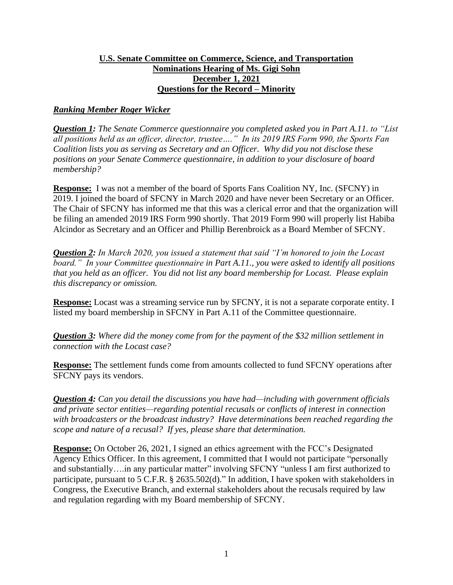### **U.S. Senate Committee on Commerce, Science, and Transportation Nominations Hearing of Ms. Gigi Sohn December 1, 2021 Questions for the Record – Minority**

## *Ranking Member Roger Wicker*

*Question 1: The Senate Commerce questionnaire you completed asked you in Part A.11. to "List all positions held as an officer, director, trustee…." In its 2019 IRS Form 990, the Sports Fan Coalition lists you as serving as Secretary and an Officer. Why did you not disclose these positions on your Senate Commerce questionnaire, in addition to your disclosure of board membership?*

**Response:** I was not a member of the board of Sports Fans Coalition NY, Inc. (SFCNY) in 2019. I joined the board of SFCNY in March 2020 and have never been Secretary or an Officer. The Chair of SFCNY has informed me that this was a clerical error and that the organization will be filing an amended 2019 IRS Form 990 shortly. That 2019 Form 990 will properly list Habiba Alcindor as Secretary and an Officer and Phillip Berenbroick as a Board Member of SFCNY.

*Question 2: In March 2020, you issued a statement that said "I'm honored to join the Locast board." In your Committee questionnaire in Part A.11., you were asked to identify all positions that you held as an officer. You did not list any board membership for Locast. Please explain this discrepancy or omission.*

**Response:** Locast was a streaming service run by SFCNY, it is not a separate corporate entity. I listed my board membership in SFCNY in Part A.11 of the Committee questionnaire.

*Question 3: Where did the money come from for the payment of the \$32 million settlement in connection with the Locast case?*

**Response:** The settlement funds come from amounts collected to fund SFCNY operations after SFCNY pays its vendors.

*Question 4: Can you detail the discussions you have had—including with government officials and private sector entities—regarding potential recusals or conflicts of interest in connection with broadcasters or the broadcast industry? Have determinations been reached regarding the scope and nature of a recusal? If yes, please share that determination.*

**Response:** On October 26, 2021, I signed an ethics agreement with the FCC's Designated Agency Ethics Officer. In this agreement, I committed that I would not participate "personally and substantially….in any particular matter" involving SFCNY "unless I am first authorized to participate, pursuant to 5 C.F.R. § 2635.502(d)." In addition, I have spoken with stakeholders in Congress, the Executive Branch, and external stakeholders about the recusals required by law and regulation regarding with my Board membership of SFCNY.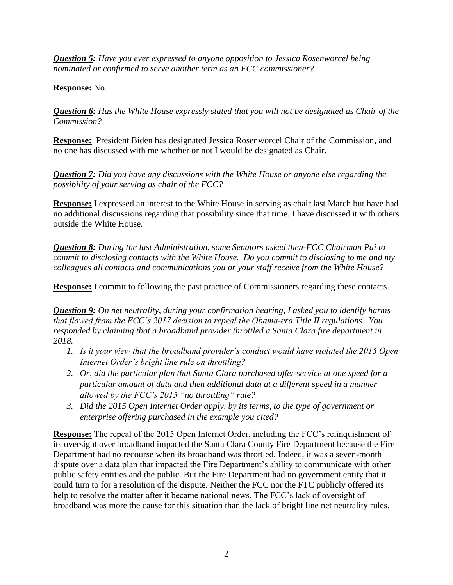*Question 5: Have you ever expressed to anyone opposition to Jessica Rosenworcel being nominated or confirmed to serve another term as an FCC commissioner?* 

## **Response:** No.

*Question 6: Has the White House expressly stated that you will not be designated as Chair of the Commission?* 

**Response:** President Biden has designated Jessica Rosenworcel Chair of the Commission, and no one has discussed with me whether or not I would be designated as Chair.

*Question 7: Did you have any discussions with the White House or anyone else regarding the possibility of your serving as chair of the FCC?* 

**Response:** I expressed an interest to the White House in serving as chair last March but have had no additional discussions regarding that possibility since that time. I have discussed it with others outside the White House.

*Question 8: During the last Administration, some Senators asked then-FCC Chairman Pai to commit to disclosing contacts with the White House. Do you commit to disclosing to me and my colleagues all contacts and communications you or your staff receive from the White House?*

**Response:** I commit to following the past practice of Commissioners regarding these contacts.

*Question 9: On net neutrality, during your confirmation hearing, I asked you to identify harms that flowed from the FCC's 2017 decision to repeal the Obama-era Title II regulations. You responded by claiming that a broadband provider throttled a Santa Clara fire department in 2018.* 

- *1. Is it your view that the broadband provider's conduct would have violated the 2015 Open Internet Order's bright line rule on throttling?*
- *2. Or, did the particular plan that Santa Clara purchased offer service at one speed for a particular amount of data and then additional data at a different speed in a manner allowed by the FCC's 2015 "no throttling" rule?*
- *3. Did the 2015 Open Internet Order apply, by its terms, to the type of government or enterprise offering purchased in the example you cited?*

**Response:** The repeal of the 2015 Open Internet Order, including the FCC's relinquishment of its oversight over broadband impacted the Santa Clara County Fire Department because the Fire Department had no recourse when its broadband was throttled. Indeed, it was a seven-month dispute over a data plan that impacted the Fire Department's ability to communicate with other public safety entities and the public. But the Fire Department had no government entity that it could turn to for a resolution of the dispute. Neither the FCC nor the FTC publicly offered its help to resolve the matter after it became national news. The FCC's lack of oversight of broadband was more the cause for this situation than the lack of bright line net neutrality rules.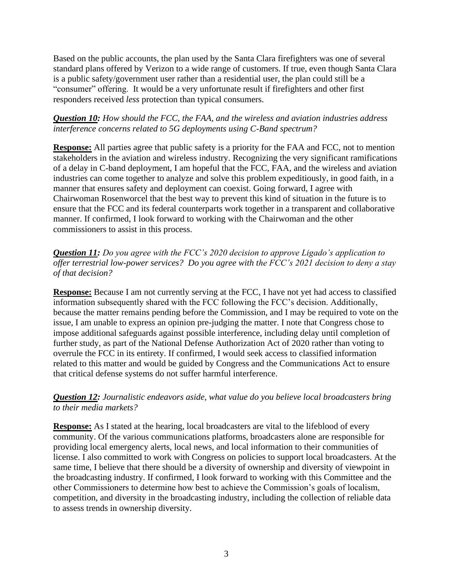Based on the public accounts, the plan used by the Santa Clara firefighters was one of several standard plans offered by Verizon to a wide range of customers. If true, even though Santa Clara is a public safety/government user rather than a residential user, the plan could still be a "consumer" offering. It would be a very unfortunate result if firefighters and other first responders received *less* protection than typical consumers.

### *Question 10: How should the FCC, the FAA, and the wireless and aviation industries address interference concerns related to 5G deployments using C-Band spectrum?*

**Response:** All parties agree that public safety is a priority for the FAA and FCC, not to mention stakeholders in the aviation and wireless industry. Recognizing the very significant ramifications of a delay in C-band deployment, I am hopeful that the FCC, FAA, and the wireless and aviation industries can come together to analyze and solve this problem expeditiously, in good faith, in a manner that ensures safety and deployment can coexist. Going forward, I agree with Chairwoman Rosenworcel that the best way to prevent this kind of situation in the future is to ensure that the FCC and its federal counterparts work together in a transparent and collaborative manner. If confirmed, I look forward to working with the Chairwoman and the other commissioners to assist in this process.

# *Question 11: Do you agree with the FCC's 2020 decision to approve Ligado's application to offer terrestrial low-power services? Do you agree with the FCC's 2021 decision to deny a stay of that decision?*

**Response:** Because I am not currently serving at the FCC, I have not yet had access to classified information subsequently shared with the FCC following the FCC's decision. Additionally, because the matter remains pending before the Commission, and I may be required to vote on the issue, I am unable to express an opinion pre-judging the matter. I note that Congress chose to impose additional safeguards against possible interference, including delay until completion of further study, as part of the National Defense Authorization Act of 2020 rather than voting to overrule the FCC in its entirety. If confirmed, I would seek access to classified information related to this matter and would be guided by Congress and the Communications Act to ensure that critical defense systems do not suffer harmful interference.

# *Question 12: Journalistic endeavors aside, what value do you believe local broadcasters bring to their media markets?*

**Response:** As I stated at the hearing, local broadcasters are vital to the lifeblood of every community. Of the various communications platforms, broadcasters alone are responsible for providing local emergency alerts, local news, and local information to their communities of license. I also committed to work with Congress on policies to support local broadcasters. At the same time, I believe that there should be a diversity of ownership and diversity of viewpoint in the broadcasting industry. If confirmed, I look forward to working with this Committee and the other Commissioners to determine how best to achieve the Commission's goals of localism, competition, and diversity in the broadcasting industry, including the collection of reliable data to assess trends in ownership diversity.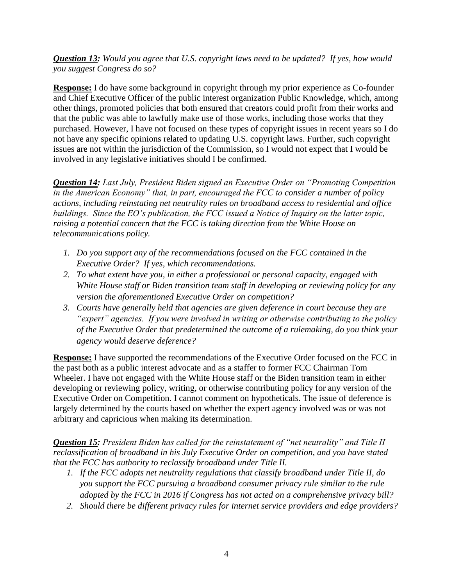*Question 13: Would you agree that U.S. copyright laws need to be updated? If yes, how would you suggest Congress do so?*

**Response:** I do have some background in copyright through my prior experience as Co-founder and Chief Executive Officer of the public interest organization Public Knowledge, which, among other things, promoted policies that both ensured that creators could profit from their works and that the public was able to lawfully make use of those works, including those works that they purchased. However, I have not focused on these types of copyright issues in recent years so I do not have any specific opinions related to updating U.S. copyright laws. Further, such copyright issues are not within the jurisdiction of the Commission, so I would not expect that I would be involved in any legislative initiatives should I be confirmed.

*Question 14: Last July, President Biden signed an Executive Order on "Promoting Competition in the American Economy" that, in part, encouraged the FCC to consider a number of policy actions, including reinstating net neutrality rules on broadband access to residential and office buildings. Since the EO's publication, the FCC issued a Notice of Inquiry on the latter topic, raising a potential concern that the FCC is taking direction from the White House on telecommunications policy.*

- *1. Do you support any of the recommendations focused on the FCC contained in the Executive Order? If yes, which recommendations.*
- *2. To what extent have you, in either a professional or personal capacity, engaged with White House staff or Biden transition team staff in developing or reviewing policy for any version the aforementioned Executive Order on competition?*
- *3. Courts have generally held that agencies are given deference in court because they are "expert" agencies. If you were involved in writing or otherwise contributing to the policy of the Executive Order that predetermined the outcome of a rulemaking, do you think your agency would deserve deference?*

**Response:** I have supported the recommendations of the Executive Order focused on the FCC in the past both as a public interest advocate and as a staffer to former FCC Chairman Tom Wheeler. I have not engaged with the White House staff or the Biden transition team in either developing or reviewing policy, writing, or otherwise contributing policy for any version of the Executive Order on Competition. I cannot comment on hypotheticals. The issue of deference is largely determined by the courts based on whether the expert agency involved was or was not arbitrary and capricious when making its determination.

*Question 15: President Biden has called for the reinstatement of "net neutrality" and Title II reclassification of broadband in his July Executive Order on competition, and you have stated that the FCC has authority to reclassify broadband under Title II.* 

- *1. If the FCC adopts net neutrality regulations that classify broadband under Title II, do you support the FCC pursuing a broadband consumer privacy rule similar to the rule adopted by the FCC in 2016 if Congress has not acted on a comprehensive privacy bill?*
- *2. Should there be different privacy rules for internet service providers and edge providers?*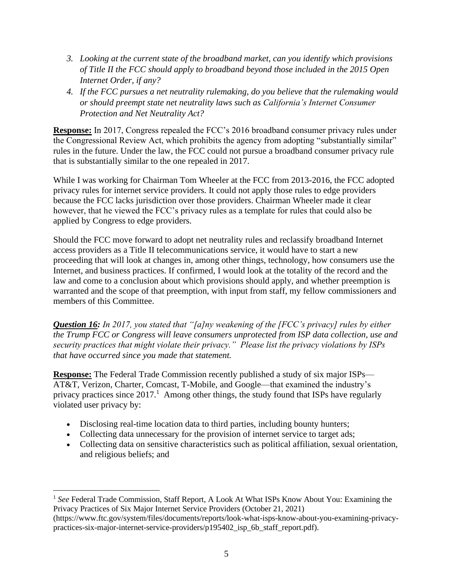- *3. Looking at the current state of the broadband market, can you identify which provisions of Title II the FCC should apply to broadband beyond those included in the 2015 Open Internet Order, if any?*
- *4. If the FCC pursues a net neutrality rulemaking, do you believe that the rulemaking would or should preempt state net neutrality laws such as California's Internet Consumer Protection and Net Neutrality Act?*

**Response:** In 2017, Congress repealed the FCC's 2016 broadband consumer privacy rules under the Congressional Review Act, which prohibits the agency from adopting "substantially similar" rules in the future. Under the law, the FCC could not pursue a broadband consumer privacy rule that is substantially similar to the one repealed in 2017.

While I was working for Chairman Tom Wheeler at the FCC from 2013-2016, the FCC adopted privacy rules for internet service providers. It could not apply those rules to edge providers because the FCC lacks jurisdiction over those providers. Chairman Wheeler made it clear however, that he viewed the FCC's privacy rules as a template for rules that could also be applied by Congress to edge providers.

Should the FCC move forward to adopt net neutrality rules and reclassify broadband Internet access providers as a Title II telecommunications service, it would have to start a new proceeding that will look at changes in, among other things, technology, how consumers use the Internet, and business practices. If confirmed, I would look at the totality of the record and the law and come to a conclusion about which provisions should apply, and whether preemption is warranted and the scope of that preemption, with input from staff, my fellow commissioners and members of this Committee.

*Question 16: In 2017, you stated that "[a]ny weakening of the [FCC's privacy] rules by either the Trump FCC or Congress will leave consumers unprotected from ISP data collection, use and security practices that might violate their privacy." Please list the privacy violations by ISPs that have occurred since you made that statement.*

**Response:** The Federal Trade Commission recently published a study of six major ISPs— AT&T, Verizon, Charter, Comcast, T-Mobile, and Google—that examined the industry's privacy practices since  $2017<sup>1</sup>$ . Among other things, the study found that ISPs have regularly violated user privacy by:

- Disclosing real-time location data to third parties, including bounty hunters;
- Collecting data unnecessary for the provision of internet service to target ads;
- Collecting data on sensitive characteristics such as political affiliation, sexual orientation, and religious beliefs; and

<sup>1</sup> *See* Federal Trade Commission, Staff Report, A Look At What ISPs Know About You: Examining the Privacy Practices of Six Major Internet Service Providers (October 21, 2021)

<sup>(</sup>https://www.ftc.gov/system/files/documents/reports/look-what-isps-know-about-you-examining-privacypractices-six-major-internet-service-providers/p195402\_isp\_6b\_staff\_report.pdf).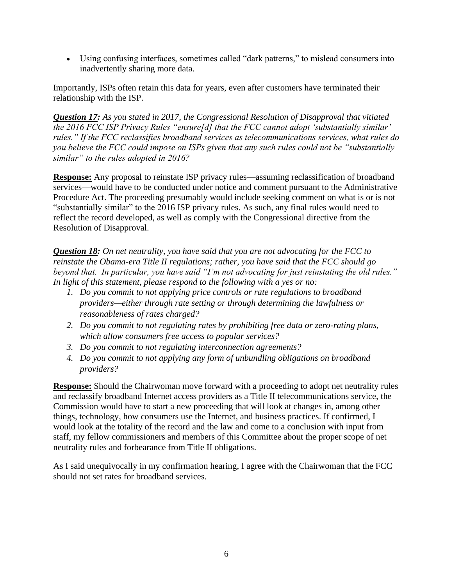• Using confusing interfaces, sometimes called "dark patterns," to mislead consumers into inadvertently sharing more data.

Importantly, ISPs often retain this data for years, even after customers have terminated their relationship with the ISP.

*Question 17: As you stated in 2017, the Congressional Resolution of Disapproval that vitiated the 2016 FCC ISP Privacy Rules "ensure[d] that the FCC cannot adopt 'substantially similar' rules." If the FCC reclassifies broadband services as telecommunications services, what rules do you believe the FCC could impose on ISPs given that any such rules could not be "substantially similar" to the rules adopted in 2016?*

**Response:** Any proposal to reinstate ISP privacy rules—assuming reclassification of broadband services—would have to be conducted under notice and comment pursuant to the Administrative Procedure Act. The proceeding presumably would include seeking comment on what is or is not "substantially similar" to the 2016 ISP privacy rules. As such, any final rules would need to reflect the record developed, as well as comply with the Congressional directive from the Resolution of Disapproval.

*Question 18: On net neutrality, you have said that you are not advocating for the FCC to reinstate the Obama-era Title II regulations; rather, you have said that the FCC should go beyond that. In particular, you have said "I'm not advocating for just reinstating the old rules." In light of this statement, please respond to the following with a yes or no:* 

- *1. Do you commit to not applying price controls or rate regulations to broadband providers—either through rate setting or through determining the lawfulness or reasonableness of rates charged?*
- *2. Do you commit to not regulating rates by prohibiting free data or zero-rating plans, which allow consumers free access to popular services?*
- *3. Do you commit to not regulating interconnection agreements?*
- *4. Do you commit to not applying any form of unbundling obligations on broadband providers?*

**Response:** Should the Chairwoman move forward with a proceeding to adopt net neutrality rules and reclassify broadband Internet access providers as a Title II telecommunications service, the Commission would have to start a new proceeding that will look at changes in, among other things, technology, how consumers use the Internet, and business practices. If confirmed, I would look at the totality of the record and the law and come to a conclusion with input from staff, my fellow commissioners and members of this Committee about the proper scope of net neutrality rules and forbearance from Title II obligations.

As I said unequivocally in my confirmation hearing, I agree with the Chairwoman that the FCC should not set rates for broadband services.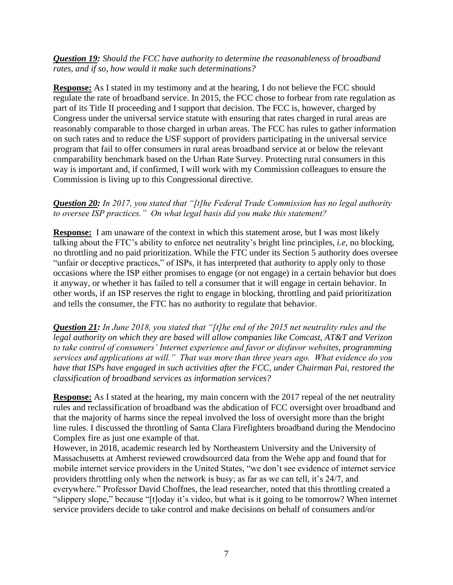### *Question 19: Should the FCC have authority to determine the reasonableness of broadband rates, and if so, how would it make such determinations?*

**Response:** As I stated in my testimony and at the hearing, I do not believe the FCC should regulate the rate of broadband service. In 2015, the FCC chose to forbear from rate regulation as part of its Title II proceeding and I support that decision. The FCC is, however, charged by Congress under the universal service statute with ensuring that rates charged in rural areas are reasonably comparable to those charged in urban areas. The FCC has rules to gather information on such rates and to reduce the USF support of providers participating in the universal service program that fail to offer consumers in rural areas broadband service at or below the relevant comparability benchmark based on the Urban Rate Survey. Protecting rural consumers in this way is important and, if confirmed, I will work with my Commission colleagues to ensure the Commission is living up to this Congressional directive.

## *Question 20: In 2017, you stated that "[t]he Federal Trade Commission has no legal authority to oversee ISP practices." On what legal basis did you make this statement?*

**Response:** I am unaware of the context in which this statement arose, but I was most likely talking about the FTC's ability to enforce net neutrality's bright line principles, *i.e,* no blocking, no throttling and no paid prioritization. While the FTC under its Section 5 authority does oversee "unfair or deceptive practices," of ISPs, it has interpreted that authority to apply only to those occasions where the ISP either promises to engage (or not engage) in a certain behavior but does it anyway, or whether it has failed to tell a consumer that it will engage in certain behavior. In other words, if an ISP reserves the right to engage in blocking, throttling and paid prioritization and tells the consumer, the FTC has no authority to regulate that behavior.

*Question 21: In June 2018, you stated that "[t]he end of the 2015 net neutrality rules and the legal authority on which they are based will allow companies like Comcast, AT&T and Verizon to take control of consumers' Internet experience and favor or disfavor websites, programming services and applications at will." That was more than three years ago. What evidence do you have that ISPs have engaged in such activities after the FCC, under Chairman Pai, restored the classification of broadband services as information services?*

**Response:** As I stated at the hearing, my main concern with the 2017 repeal of the net neutrality rules and reclassification of broadband was the abdication of FCC oversight over broadband and that the majority of harms since the repeal involved the loss of oversight more than the bright line rules. I discussed the throttling of Santa Clara Firefighters broadband during the Mendocino Complex fire as just one example of that.

However, in 2018, academic research led by Northeastern University and the University of Massachusetts at Amherst reviewed crowdsourced data from the Wehe app and found that for mobile internet service providers in the United States, "we don't see evidence of internet service providers throttling only when the network is busy; as far as we can tell, it's 24/7, and everywhere." Professor David Choffnes, the lead researcher, noted that this throttling created a "slippery slope," because "[t]oday it's video, but what is it going to be tomorrow? When internet service providers decide to take control and make decisions on behalf of consumers and/or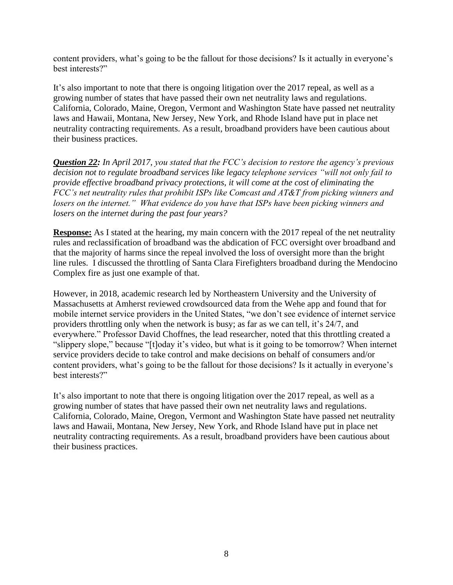content providers, what's going to be the fallout for those decisions? Is it actually in everyone's best interests?"

It's also important to note that there is ongoing litigation over the 2017 repeal, as well as a growing number of states that have passed their own net neutrality laws and regulations. California, Colorado, Maine, Oregon, Vermont and Washington State have passed net neutrality laws and Hawaii, Montana, New Jersey, New York, and Rhode Island have put in place net neutrality contracting requirements. As a result, broadband providers have been cautious about their business practices.

*Question 22: In April 2017, you stated that the FCC's decision to restore the agency's previous decision not to regulate broadband services like legacy telephone services "will not only fail to provide effective broadband privacy protections, it will come at the cost of eliminating the FCC's net neutrality rules that prohibit ISPs like Comcast and AT&T from picking winners and losers on the internet." What evidence do you have that ISPs have been picking winners and losers on the internet during the past four years?*

**Response:** As I stated at the hearing, my main concern with the 2017 repeal of the net neutrality rules and reclassification of broadband was the abdication of FCC oversight over broadband and that the majority of harms since the repeal involved the loss of oversight more than the bright line rules. I discussed the throttling of Santa Clara Firefighters broadband during the Mendocino Complex fire as just one example of that.

However, in 2018, academic research led by Northeastern University and the University of Massachusetts at Amherst reviewed crowdsourced data from the Wehe app and found that for mobile internet service providers in the United States, "we don't see evidence of internet service providers throttling only when the network is busy; as far as we can tell, it's 24/7, and everywhere." Professor David Choffnes, the lead researcher, noted that this throttling created a "slippery slope," because "[t]oday it's video, but what is it going to be tomorrow? When internet service providers decide to take control and make decisions on behalf of consumers and/or content providers, what's going to be the fallout for those decisions? Is it actually in everyone's best interests?"

It's also important to note that there is ongoing litigation over the 2017 repeal, as well as a growing number of states that have passed their own net neutrality laws and regulations. California, Colorado, Maine, Oregon, Vermont and Washington State have passed net neutrality laws and Hawaii, Montana, New Jersey, New York, and Rhode Island have put in place net neutrality contracting requirements. As a result, broadband providers have been cautious about their business practices.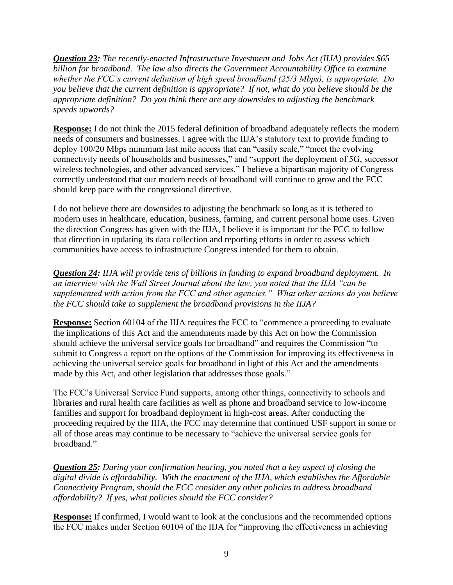*Question 23: The recently-enacted Infrastructure Investment and Jobs Act (IIJA) provides \$65 billion for broadband. The law also directs the Government Accountability Office to examine whether the FCC's current definition of high speed broadband (25/3 Mbps), is appropriate. Do you believe that the current definition is appropriate? If not, what do you believe should be the appropriate definition? Do you think there are any downsides to adjusting the benchmark speeds upwards?* 

**Response:** I do not think the 2015 federal definition of broadband adequately reflects the modern needs of consumers and businesses. I agree with the IIJA's statutory text to provide funding to deploy 100/20 Mbps minimum last mile access that can "easily scale," "meet the evolving connectivity needs of households and businesses," and "support the deployment of 5G, successor wireless technologies, and other advanced services." I believe a bipartisan majority of Congress correctly understood that our modern needs of broadband will continue to grow and the FCC should keep pace with the congressional directive.

I do not believe there are downsides to adjusting the benchmark so long as it is tethered to modern uses in healthcare, education, business, farming, and current personal home uses. Given the direction Congress has given with the IIJA, I believe it is important for the FCC to follow that direction in updating its data collection and reporting efforts in order to assess which communities have access to infrastructure Congress intended for them to obtain.

*Question 24: IIJA will provide tens of billions in funding to expand broadband deployment. In an interview with the Wall Street Journal about the law, you noted that the IIJA "can be supplemented with action from the FCC and other agencies." What other actions do you believe the FCC should take to supplement the broadband provisions in the IIJA?*

**Response:** Section 60104 of the IIJA requires the FCC to "commence a proceeding to evaluate the implications of this Act and the amendments made by this Act on how the Commission should achieve the universal service goals for broadband" and requires the Commission "to submit to Congress a report on the options of the Commission for improving its effectiveness in achieving the universal service goals for broadband in light of this Act and the amendments made by this Act, and other legislation that addresses those goals."

The FCC's Universal Service Fund supports, among other things, connectivity to schools and libraries and rural health care facilities as well as phone and broadband service to low-income families and support for broadband deployment in high-cost areas. After conducting the proceeding required by the IIJA, the FCC may determine that continued USF support in some or all of those areas may continue to be necessary to "achieve the universal service goals for broadband."

*Question 25: During your confirmation hearing, you noted that a key aspect of closing the digital divide is affordability. With the enactment of the IIJA, which establishes the Affordable Connectivity Program, should the FCC consider any other policies to address broadband affordability? If yes, what policies should the FCC consider?*

**Response:** If confirmed, I would want to look at the conclusions and the recommended options the FCC makes under Section 60104 of the IIJA for "improving the effectiveness in achieving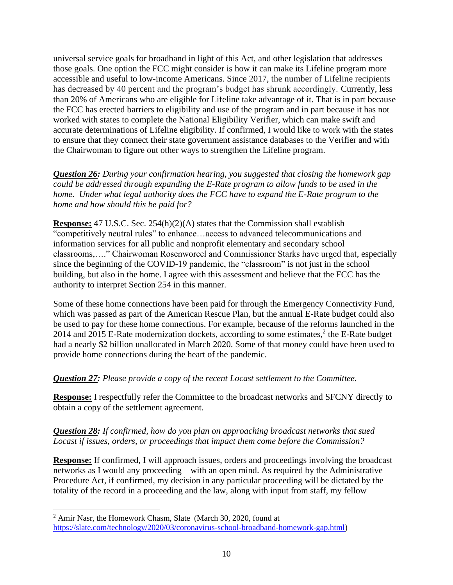universal service goals for broadband in light of this Act, and other legislation that addresses those goals. One option the FCC might consider is how it can make its Lifeline program more accessible and useful to low-income Americans. Since 2017, the number of Lifeline recipients has [decreased by 40 percent](https://www.usac.org/lifeline/learn/program-data/) and the program's budget has shrunk accordingly. Currently, less than 20% of Americans who are eligible for Lifeline take advantage of it. That is in part because the FCC has erected barriers to eligibility and use of the program and in part because it has not worked with states to complete the National Eligibility Verifier, which can make swift and accurate determinations of Lifeline eligibility. If confirmed, I would like to work with the states to ensure that they connect their state government assistance databases to the Verifier and with the Chairwoman to figure out other ways to strengthen the Lifeline program.

*Question 26: During your confirmation hearing, you suggested that closing the homework gap could be addressed through expanding the E-Rate program to allow funds to be used in the home. Under what legal authority does the FCC have to expand the E-Rate program to the home and how should this be paid for?*

**Response:** 47 U.S.C. Sec. 254(h)(2)(A) states that the Commission shall establish "competitively neutral rules" to enhance…access to advanced telecommunications and information services for all public and nonprofit elementary and secondary school classrooms,…." Chairwoman Rosenworcel and Commissioner Starks have urged that, especially since the beginning of the COVID-19 pandemic, the "classroom" is not just in the school building, but also in the home. I agree with this assessment and believe that the FCC has the authority to interpret Section 254 in this manner.

Some of these home connections have been paid for through the Emergency Connectivity Fund, which was passed as part of the American Rescue Plan, but the annual E-Rate budget could also be used to pay for these home connections. For example, because of the reforms launched in the 2014 and 2015 E-Rate modernization dockets, according to some estimates, $2$  the E-Rate budget had a nearly \$2 billion unallocated in March 2020. Some of that money could have been used to provide home connections during the heart of the pandemic.

# *Question 27: Please provide a copy of the recent Locast settlement to the Committee.*

**Response:** I respectfully refer the Committee to the broadcast networks and SFCNY directly to obtain a copy of the settlement agreement.

#### *Question 28: If confirmed, how do you plan on approaching broadcast networks that sued Locast if issues, orders, or proceedings that impact them come before the Commission?*

**Response:** If confirmed, I will approach issues, orders and proceedings involving the broadcast networks as I would any proceeding—with an open mind. As required by the Administrative Procedure Act, if confirmed, my decision in any particular proceeding will be dictated by the totality of the record in a proceeding and the law, along with input from staff, my fellow

<sup>&</sup>lt;sup>2</sup> Amir Nasr, the Homework Chasm, Slate (March 30, 2020, found at [https://slate.com/technology/2020/03/coronavirus-school-broadband-homework-gap.html\)](https://slate.com/technology/2020/03/coronavirus-school-broadband-homework-gap.html)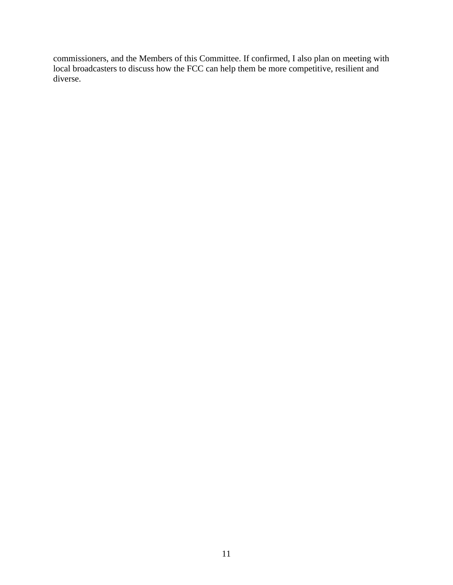commissioners, and the Members of this Committee. If confirmed, I also plan on meeting with local broadcasters to discuss how the FCC can help them be more competitive, resilient and diverse.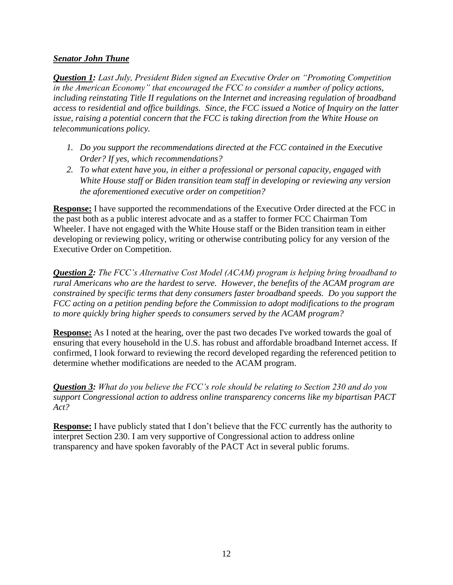### *Senator John Thune*

*Question 1: Last July, President Biden signed an Executive Order on "Promoting Competition in the American Economy" that encouraged the FCC to consider a number of policy actions, including reinstating Title II regulations on the Internet and increasing regulation of broadband access to residential and office buildings. Since, the FCC issued a Notice of Inquiry on the latter issue, raising a potential concern that the FCC is taking direction from the White House on telecommunications policy.*

- *1. Do you support the recommendations directed at the FCC contained in the Executive Order? If yes, which recommendations?*
- *2. To what extent have you, in either a professional or personal capacity, engaged with White House staff or Biden transition team staff in developing or reviewing any version the aforementioned executive order on competition?*

**Response:** I have supported the recommendations of the Executive Order directed at the FCC in the past both as a public interest advocate and as a staffer to former FCC Chairman Tom Wheeler. I have not engaged with the White House staff or the Biden transition team in either developing or reviewing policy, writing or otherwise contributing policy for any version of the Executive Order on Competition.

*Question 2: The FCC's Alternative Cost Model (ACAM) program is helping bring broadband to rural Americans who are the hardest to serve. However, the benefits of the ACAM program are constrained by specific terms that deny consumers faster broadband speeds. Do you support the FCC acting on a petition pending before the Commission to adopt modifications to the program to more quickly bring higher speeds to consumers served by the ACAM program?*

**Response:** As I noted at the hearing, over the past two decades I've worked towards the goal of ensuring that every household in the U.S. has robust and affordable broadband Internet access. If confirmed, I look forward to reviewing the record developed regarding the referenced petition to determine whether modifications are needed to the ACAM program.

*Question 3: What do you believe the FCC's role should be relating to Section 230 and do you support Congressional action to address online transparency concerns like my bipartisan PACT Act?*

**Response:** I have publicly stated that I don't believe that the FCC currently has the authority to interpret Section 230. I am very supportive of Congressional action to address online transparency and have spoken favorably of the PACT Act in several public forums.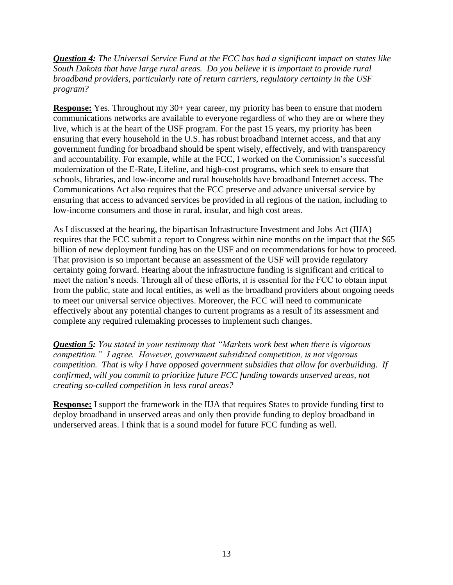*Question 4: The Universal Service Fund at the FCC has had a significant impact on states like South Dakota that have large rural areas. Do you believe it is important to provide rural broadband providers, particularly rate of return carriers, regulatory certainty in the USF program?*

**Response:** Yes. Throughout my 30+ year career, my priority has been to ensure that modern communications networks are available to everyone regardless of who they are or where they live, which is at the heart of the USF program. For the past 15 years, my priority has been ensuring that every household in the U.S. has robust broadband Internet access, and that any government funding for broadband should be spent wisely, effectively, and with transparency and accountability. For example, while at the FCC, I worked on the Commission's successful modernization of the E-Rate, Lifeline, and high-cost programs, which seek to ensure that schools, libraries, and low-income and rural households have broadband Internet access. The Communications Act also requires that the FCC preserve and advance universal service by ensuring that access to advanced services be provided in all regions of the nation, including to low-income consumers and those in rural, insular, and high cost areas.

As I discussed at the hearing, the bipartisan Infrastructure Investment and Jobs Act (IIJA) requires that the FCC submit a report to Congress within nine months on the impact that the \$65 billion of new deployment funding has on the USF and on recommendations for how to proceed. That provision is so important because an assessment of the USF will provide regulatory certainty going forward. Hearing about the infrastructure funding is significant and critical to meet the nation's needs. Through all of these efforts, it is essential for the FCC to obtain input from the public, state and local entities, as well as the broadband providers about ongoing needs to meet our universal service objectives. Moreover, the FCC will need to communicate effectively about any potential changes to current programs as a result of its assessment and complete any required rulemaking processes to implement such changes.

*Question 5: You stated in your testimony that "Markets work best when there is vigorous competition." I agree. However, government subsidized competition, is not vigorous competition. That is why I have opposed government subsidies that allow for overbuilding. If confirmed, will you commit to prioritize future FCC funding towards unserved areas, not creating so-called competition in less rural areas?*

**Response:** I support the framework in the IIJA that requires States to provide funding first to deploy broadband in unserved areas and only then provide funding to deploy broadband in underserved areas. I think that is a sound model for future FCC funding as well.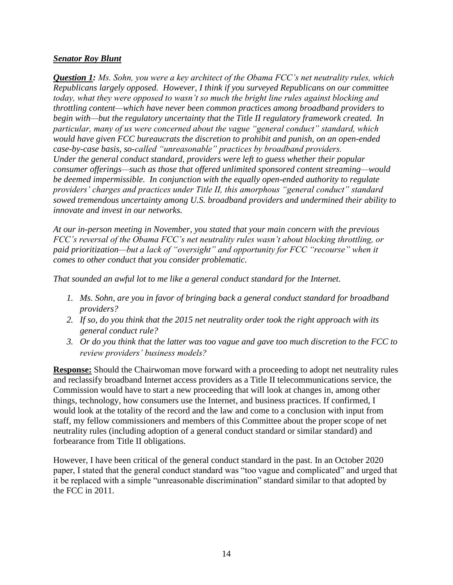### *Senator Roy Blunt*

*Question 1: Ms. Sohn, you were a key architect of the Obama FCC's net neutrality rules, which Republicans largely opposed. However, I think if you surveyed Republicans on our committee today, what they were opposed to wasn't so much the bright line rules against blocking and throttling content—which have never been common practices among broadband providers to begin with—but the regulatory uncertainty that the Title II regulatory framework created. In particular, many of us were concerned about the vague "general conduct" standard, which would have given FCC bureaucrats the discretion to prohibit and punish, on an open-ended case-by-case basis, so-called "unreasonable" practices by broadband providers. Under the general conduct standard, providers were left to guess whether their popular consumer offerings—such as those that offered unlimited sponsored content streaming—would be deemed impermissible. In conjunction with the equally open-ended authority to regulate providers' charges and practices under Title II, this amorphous "general conduct" standard sowed tremendous uncertainty among U.S. broadband providers and undermined their ability to innovate and invest in our networks.*

*At our in-person meeting in November, you stated that your main concern with the previous FCC's reversal of the Obama FCC's net neutrality rules wasn't about blocking throttling, or paid prioritization—but a lack of "oversight" and opportunity for FCC "recourse" when it comes to other conduct that you consider problematic.* 

*That sounded an awful lot to me like a general conduct standard for the Internet.*

- *1. Ms. Sohn, are you in favor of bringing back a general conduct standard for broadband providers?*
- *2. If so, do you think that the 2015 net neutrality order took the right approach with its general conduct rule?*
- *3. Or do you think that the latter was too vague and gave too much discretion to the FCC to review providers' business models?*

**Response:** Should the Chairwoman move forward with a proceeding to adopt net neutrality rules and reclassify broadband Internet access providers as a Title II telecommunications service, the Commission would have to start a new proceeding that will look at changes in, among other things, technology, how consumers use the Internet, and business practices. If confirmed, I would look at the totality of the record and the law and come to a conclusion with input from staff, my fellow commissioners and members of this Committee about the proper scope of net neutrality rules (including adoption of a general conduct standard or similar standard) and forbearance from Title II obligations.

However, I have been critical of the general conduct standard in the past. In an October 2020 paper, I stated that the general conduct standard was "too vague and complicated" and urged that it be replaced with a simple "unreasonable discrimination" standard similar to that adopted by the FCC in 2011.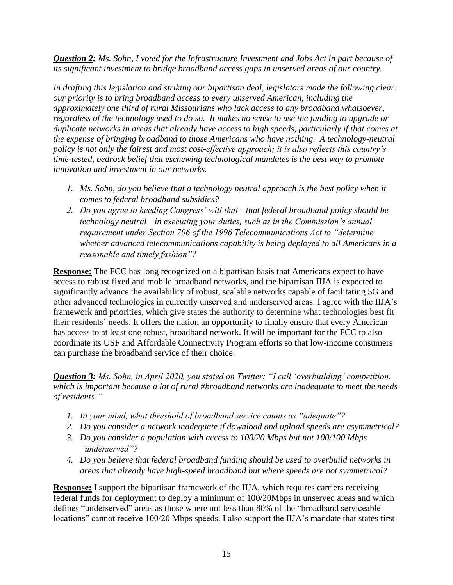*Question 2: Ms. Sohn, I voted for the Infrastructure Investment and Jobs Act in part because of its significant investment to bridge broadband access gaps in unserved areas of our country.* 

*In drafting this legislation and striking our bipartisan deal, legislators made the following clear: our priority is to bring broadband access to every unserved American, including the approximately one third of rural Missourians who lack access to any broadband whatsoever, regardless of the technology used to do so. It makes no sense to use the funding to upgrade or duplicate networks in areas that already have access to high speeds, particularly if that comes at the expense of bringing broadband to those Americans who have nothing. A technology-neutral policy is not only the fairest and most cost-effective approach; it is also reflects this country's time-tested, bedrock belief that eschewing technological mandates is the best way to promote innovation and investment in our networks.*

- *1. Ms. Sohn, do you believe that a technology neutral approach is the best policy when it comes to federal broadband subsidies?*
- *2. Do you agree to heeding Congress' will that—that federal broadband policy should be technology neutral—in executing your duties, such as in the Commission's annual requirement under Section 706 of the 1996 Telecommunications Act to "determine whether advanced telecommunications capability is being deployed to all Americans in a reasonable and timely fashion"?*

**Response:** The FCC has long recognized on a bipartisan basis that Americans expect to have access to robust fixed and mobile broadband networks, and the bipartisan IIJA is expected to significantly advance the availability of robust, scalable networks capable of facilitating 5G and other advanced technologies in currently unserved and underserved areas. I agree with the IIJA's framework and priorities, which give states the authority to determine what technologies best fit their residents' needs. It offers the nation an opportunity to finally ensure that every American has access to at least one robust, broadband network. It will be important for the FCC to also coordinate its USF and Affordable Connectivity Program efforts so that low-income consumers can purchase the broadband service of their choice.

*Question 3: Ms. Sohn, in April 2020, you stated on Twitter: "I call 'overbuilding' competition, which is important because a lot of rural #broadband networks are inadequate to meet the needs of residents."* 

- *1. In your mind, what threshold of broadband service counts as "adequate"?*
- *2. Do you consider a network inadequate if download and upload speeds are asymmetrical?*
- *3. Do you consider a population with access to 100/20 Mbps but not 100/100 Mbps "underserved"?*
- *4. Do you believe that federal broadband funding should be used to overbuild networks in areas that already have high-speed broadband but where speeds are not symmetrical?*

**Response:** I support the bipartisan framework of the IIJA, which requires carriers receiving federal funds for deployment to deploy a minimum of 100/20Mbps in unserved areas and which defines "underserved" areas as those where not less than 80% of the "broadband serviceable locations" cannot receive 100/20 Mbps speeds. I also support the IIJA's mandate that states first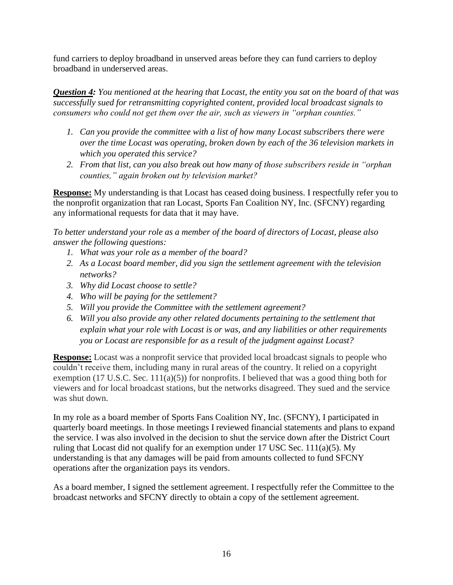fund carriers to deploy broadband in unserved areas before they can fund carriers to deploy broadband in underserved areas.

*Question 4: You mentioned at the hearing that Locast, the entity you sat on the board of that was successfully sued for retransmitting copyrighted content, provided local broadcast signals to consumers who could not get them over the air, such as viewers in "orphan counties."*

- *1. Can you provide the committee with a list of how many Locast subscribers there were over the time Locast was operating, broken down by each of the 36 television markets in which you operated this service?*
- *2. From that list, can you also break out how many of those subscribers reside in "orphan counties," again broken out by television market?*

**Response:** My understanding is that Locast has ceased doing business. I respectfully refer you to the nonprofit organization that ran Locast, Sports Fan Coalition NY, Inc. (SFCNY) regarding any informational requests for data that it may have.

*To better understand your role as a member of the board of directors of Locast, please also answer the following questions:*

- *1. What was your role as a member of the board?*
- *2. As a Locast board member, did you sign the settlement agreement with the television networks?*
- *3. Why did Locast choose to settle?*
- *4. Who will be paying for the settlement?*
- *5. Will you provide the Committee with the settlement agreement?*
- *6. Will you also provide any other related documents pertaining to the settlement that explain what your role with Locast is or was, and any liabilities or other requirements you or Locast are responsible for as a result of the judgment against Locast?*

**Response:** Locast was a nonprofit service that provided local broadcast signals to people who couldn't receive them, including many in rural areas of the country. It relied on a copyright exemption (17 U.S.C. Sec. 111(a)(5)) for nonprofits. I believed that was a good thing both for viewers and for local broadcast stations, but the networks disagreed. They sued and the service was shut down.

In my role as a board member of Sports Fans Coalition NY, Inc. (SFCNY), I participated in quarterly board meetings. In those meetings I reviewed financial statements and plans to expand the service. I was also involved in the decision to shut the service down after the District Court ruling that Locast did not qualify for an exemption under 17 USC Sec. 111(a)(5). My understanding is that any damages will be paid from amounts collected to fund SFCNY operations after the organization pays its vendors.

As a board member, I signed the settlement agreement. I respectfully refer the Committee to the broadcast networks and SFCNY directly to obtain a copy of the settlement agreement.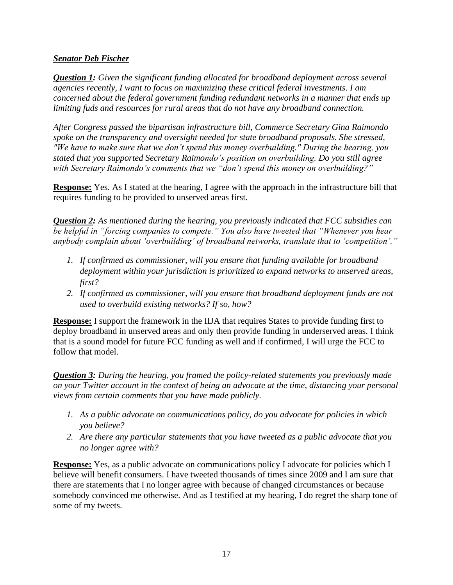# *Senator Deb Fischer*

*Question 1: Given the significant funding allocated for broadband deployment across several agencies recently, I want to focus on maximizing these critical federal investments. I am concerned about the federal government funding redundant networks in a manner that ends up limiting fuds and resources for rural areas that do not have any broadband connection.*

*After Congress passed the bipartisan infrastructure bill, Commerce Secretary Gina Raimondo spoke on the transparency and oversight needed for state broadband proposals. She stressed, "We have to make sure that we don't spend this money overbuilding." During the hearing, you stated that you supported Secretary Raimondo's position on overbuilding. Do you still agree with Secretary Raimondo's comments that we "don't spend this money on overbuilding?"*

**Response:** Yes. As I stated at the hearing, I agree with the approach in the infrastructure bill that requires funding to be provided to unserved areas first.

*Question 2: As mentioned during the hearing, you previously indicated that FCC subsidies can be helpful in "forcing companies to compete." You also have tweeted that "Whenever you hear anybody complain about 'overbuilding' of broadband networks, translate that to 'competition'."*

- *1. If confirmed as commissioner, will you ensure that funding available for broadband deployment within your jurisdiction is prioritized to expand networks to unserved areas, first?*
- *2. If confirmed as commissioner, will you ensure that broadband deployment funds are not used to overbuild existing networks? If so, how?*

**Response:** I support the framework in the IIJA that requires States to provide funding first to deploy broadband in unserved areas and only then provide funding in underserved areas. I think that is a sound model for future FCC funding as well and if confirmed, I will urge the FCC to follow that model.

*Question 3: During the hearing, you framed the policy-related statements you previously made on your Twitter account in the context of being an advocate at the time, distancing your personal views from certain comments that you have made publicly.*

- *1. As a public advocate on communications policy, do you advocate for policies in which you believe?*
- *2. Are there any particular statements that you have tweeted as a public advocate that you no longer agree with?*

**Response:** Yes, as a public advocate on communications policy I advocate for policies which I believe will benefit consumers. I have tweeted thousands of times since 2009 and I am sure that there are statements that I no longer agree with because of changed circumstances or because somebody convinced me otherwise. And as I testified at my hearing, I do regret the sharp tone of some of my tweets.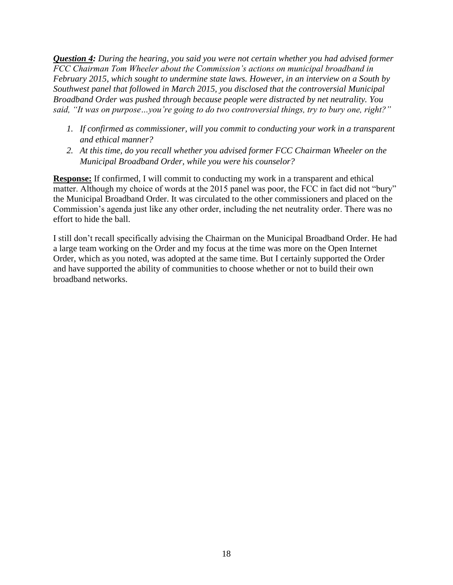*Question 4: During the hearing, you said you were not certain whether you had advised former FCC Chairman Tom Wheeler about the Commission's actions on municipal broadband in February 2015, which sought to undermine state laws. However, in an interview on a South by Southwest panel that followed in March 2015, you disclosed that the controversial Municipal Broadband Order was pushed through because people were distracted by net neutrality. You said, "It was on purpose…you're going to do two controversial things, try to bury one, right?"*

- *1. If confirmed as commissioner, will you commit to conducting your work in a transparent and ethical manner?*
- *2. At this time, do you recall whether you advised former FCC Chairman Wheeler on the Municipal Broadband Order, while you were his counselor?*

**Response:** If confirmed, I will commit to conducting my work in a transparent and ethical matter. Although my choice of words at the 2015 panel was poor, the FCC in fact did not "bury" the Municipal Broadband Order. It was circulated to the other commissioners and placed on the Commission's agenda just like any other order, including the net neutrality order. There was no effort to hide the ball.

I still don't recall specifically advising the Chairman on the Municipal Broadband Order. He had a large team working on the Order and my focus at the time was more on the Open Internet Order, which as you noted, was adopted at the same time. But I certainly supported the Order and have supported the ability of communities to choose whether or not to build their own broadband networks.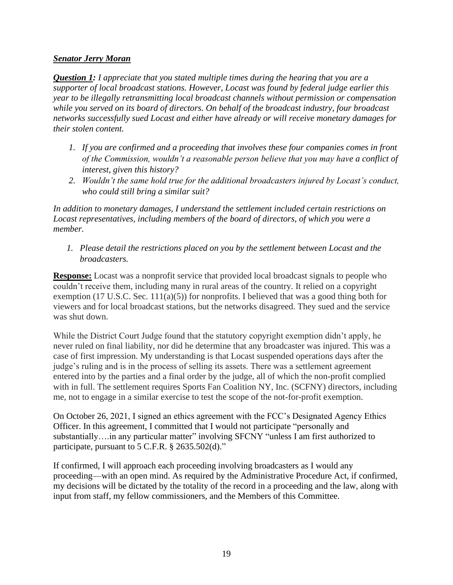## *Senator Jerry Moran*

*Question 1: I appreciate that you stated multiple times during the hearing that you are a supporter of local broadcast stations. However, Locast was found by federal judge earlier this year to be illegally retransmitting local broadcast channels without permission or compensation while you served on its board of directors. On behalf of the broadcast industry, four broadcast networks successfully sued Locast and either have already or will receive monetary damages for their stolen content.* 

- *1. If you are confirmed and a proceeding that involves these four companies comes in front of the Commission, wouldn't a reasonable person believe that you may have a conflict of interest, given this history?*
- *2. Wouldn't the same hold true for the additional broadcasters injured by Locast's conduct, who could still bring a similar suit?*

*In addition to monetary damages, I understand the settlement included certain restrictions on Locast representatives, including members of the board of directors, of which you were a member.* 

*1. Please detail the restrictions placed on you by the settlement between Locast and the broadcasters.*

**Response:** Locast was a nonprofit service that provided local broadcast signals to people who couldn't receive them, including many in rural areas of the country. It relied on a copyright exemption (17 U.S.C. Sec.  $111(a)(5)$ ) for nonprofits. I believed that was a good thing both for viewers and for local broadcast stations, but the networks disagreed. They sued and the service was shut down.

While the District Court Judge found that the statutory copyright exemption didn't apply, he never ruled on final liability, nor did he determine that any broadcaster was injured. This was a case of first impression. My understanding is that Locast suspended operations days after the judge's ruling and is in the process of selling its assets. There was a settlement agreement entered into by the parties and a final order by the judge, all of which the non-profit complied with in full. The settlement requires Sports Fan Coalition NY, Inc. (SCFNY) directors, including me, not to engage in a similar exercise to test the scope of the not-for-profit exemption.

On October 26, 2021, I signed an ethics agreement with the FCC's Designated Agency Ethics Officer. In this agreement, I committed that I would not participate "personally and substantially….in any particular matter" involving SFCNY "unless I am first authorized to participate, pursuant to 5 C.F.R. § 2635.502(d)."

If confirmed, I will approach each proceeding involving broadcasters as I would any proceeding—with an open mind. As required by the Administrative Procedure Act, if confirmed, my decisions will be dictated by the totality of the record in a proceeding and the law, along with input from staff, my fellow commissioners, and the Members of this Committee.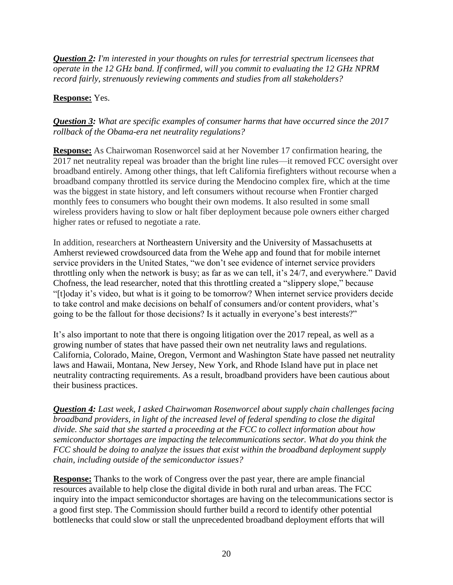*Question 2: I'm interested in your thoughts on rules for terrestrial spectrum licensees that operate in the 12 GHz band. If confirmed, will you commit to evaluating the 12 GHz NPRM record fairly, strenuously reviewing comments and studies from all stakeholders?*

# **Response:** Yes.

# *Question 3: What are specific examples of consumer harms that have occurred since the 2017 rollback of the Obama-era net neutrality regulations?*

**Response:** As Chairwoman Rosenworcel said at her November 17 confirmation hearing, the 2017 net neutrality repeal was broader than the bright line rules—it removed FCC oversight over broadband entirely. Among other things, that left California firefighters without recourse when a broadband company throttled its service during the Mendocino complex fire, which at the time was the biggest in state history, and left consumers without recourse when Frontier charged monthly fees to consumers who bought their own modems. It also resulted in some small wireless providers having to slow or halt fiber deployment because pole owners either charged higher rates or refused to negotiate a rate.

In addition, researchers at Northeastern University and the University of Massachusetts at Amherst reviewed crowdsourced data from the Wehe app and found that for mobile internet service providers in the United States, "we don't see evidence of internet service providers throttling only when the network is busy; as far as we can tell, it's 24/7, and everywhere." David Chofness, the lead researcher, noted that this throttling created a "slippery slope," because "[t]oday it's video, but what is it going to be tomorrow? When internet service providers decide to take control and make decisions on behalf of consumers and/or content providers, what's going to be the fallout for those decisions? Is it actually in everyone's best interests?"

It's also important to note that there is ongoing litigation over the 2017 repeal, as well as a growing number of states that have passed their own net neutrality laws and regulations. California, Colorado, Maine, Oregon, Vermont and Washington State have passed net neutrality laws and Hawaii, Montana, New Jersey, New York, and Rhode Island have put in place net neutrality contracting requirements. As a result, broadband providers have been cautious about their business practices.

*Question 4: Last week, I asked Chairwoman Rosenworcel about supply chain challenges facing broadband providers, in light of the increased level of federal spending to close the digital divide. She said that she started a proceeding at the FCC to collect information about how semiconductor shortages are impacting the telecommunications sector. What do you think the FCC should be doing to analyze the issues that exist within the broadband deployment supply chain, including outside of the semiconductor issues?*

**Response:** Thanks to the work of Congress over the past year, there are ample financial resources available to help close the digital divide in both rural and urban areas. The FCC inquiry into the impact semiconductor shortages are having on the telecommunications sector is a good first step. The Commission should further build a record to identify other potential bottlenecks that could slow or stall the unprecedented broadband deployment efforts that will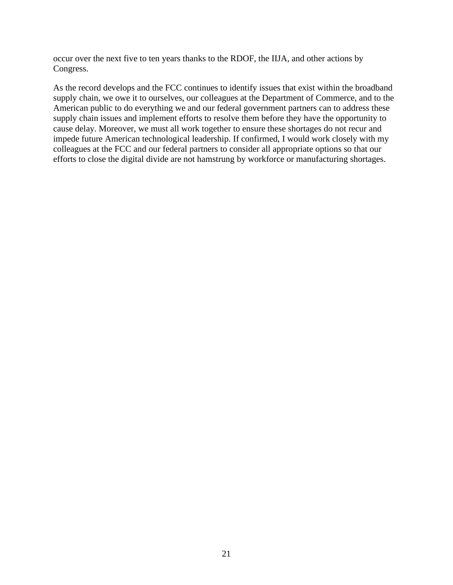occur over the next five to ten years thanks to the RDOF, the IIJA, and other actions by Congress.

As the record develops and the FCC continues to identify issues that exist within the broadband supply chain, we owe it to ourselves, our colleagues at the Department of Commerce, and to the American public to do everything we and our federal government partners can to address these supply chain issues and implement efforts to resolve them before they have the opportunity to cause delay. Moreover, we must all work together to ensure these shortages do not recur and impede future American technological leadership. If confirmed, I would work closely with my colleagues at the FCC and our federal partners to consider all appropriate options so that our efforts to close the digital divide are not hamstrung by workforce or manufacturing shortages.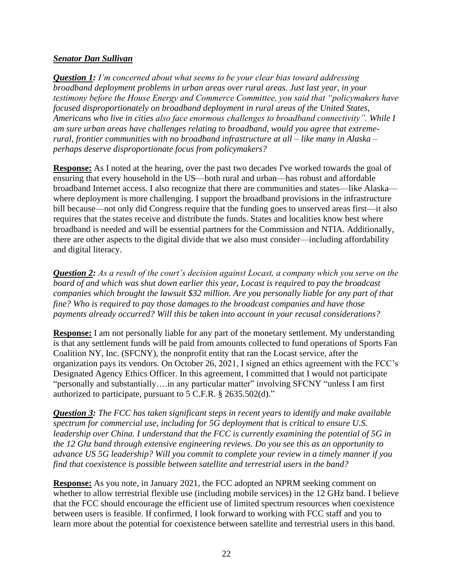### *Senator Dan Sullivan*

*Question 1: I'm concerned about what seems to be your clear bias toward addressing broadband deployment problems in urban areas over rural areas. Just last year, in your testimony before the House Energy and Commerce Committee, you said that "policymakers have focused disproportionately on broadband deployment in rural areas of the United States, Americans who live in cities also face enormous challenges to broadband connectivity". While I am sure urban areas have challenges relating to broadband, would you agree that extremerural, frontier communities with no broadband infrastructure at all – like many in Alaska – perhaps deserve disproportionate focus from policymakers?*

**Response:** As I noted at the hearing, over the past two decades I've worked towards the goal of ensuring that every household in the US—both rural and urban—has robust and affordable broadband Internet access. I also recognize that there are communities and states—like Alaska where deployment is more challenging. I support the broadband provisions in the infrastructure bill because—not only did Congress require that the funding goes to unserved areas first—it also requires that the states receive and distribute the funds. States and localities know best where broadband is needed and will be essential partners for the Commission and NTIA. Additionally, there are other aspects to the digital divide that we also must consider—including affordability and digital literacy.

*Question 2: As a result of the court's decision against Locast, a company which you serve on the board of and which was shut down earlier this year, Locast is required to pay the broadcast companies which brought the lawsuit \$32 million. Are you personally liable for any part of that fine? Who is required to pay those damages to the broadcast companies and have those payments already occurred? Will this be taken into account in your recusal considerations?*

**Response:** I am not personally liable for any part of the monetary settlement. My understanding is that any settlement funds will be paid from amounts collected to fund operations of Sports Fan Coalition NY, Inc. (SFCNY), the nonprofit entity that ran the Locast service, after the organization pays its vendors. On October 26, 2021, I signed an ethics agreement with the FCC's Designated Agency Ethics Officer. In this agreement, I committed that I would not participate "personally and substantially....in any particular matter" involving SFCNY "unless I am first authorized to participate, pursuant to 5 C.F.R. § 2635.502(d)."

*Question 3: The FCC has taken significant steps in recent years to identify and make available spectrum for commercial use, including for 5G deployment that is critical to ensure U.S. leadership over China. I understand that the FCC is currently examining the potential of 5G in the 12 Ghz band through extensive engineering reviews. Do you see this as an opportunity to advance US 5G leadership? Will you commit to complete your review in a timely manner if you find that coexistence is possible between satellite and terrestrial users in the band?*

**Response:** As you note, in January 2021, the FCC adopted an NPRM seeking comment on whether to allow terrestrial flexible use (including mobile services) in the 12 GHz band. I believe that the FCC should encourage the efficient use of limited spectrum resources when coexistence between users is feasible. If confirmed, I look forward to working with FCC staff and you to learn more about the potential for coexistence between satellite and terrestrial users in this band.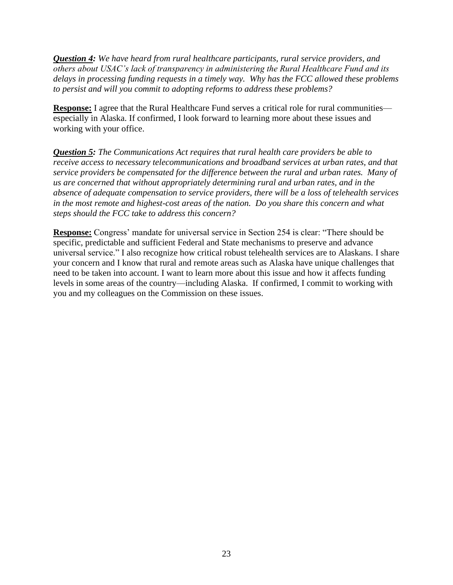*Question 4: We have heard from rural healthcare participants, rural service providers, and others about USAC's lack of transparency in administering the Rural Healthcare Fund and its delays in processing funding requests in a timely way. Why has the FCC allowed these problems to persist and will you commit to adopting reforms to address these problems?*

**Response:** I agree that the Rural Healthcare Fund serves a critical role for rural communities especially in Alaska. If confirmed, I look forward to learning more about these issues and working with your office.

*Question 5: The Communications Act requires that rural health care providers be able to receive access to necessary telecommunications and broadband services at urban rates, and that service providers be compensated for the difference between the rural and urban rates. Many of us are concerned that without appropriately determining rural and urban rates, and in the absence of adequate compensation to service providers, there will be a loss of telehealth services in the most remote and highest-cost areas of the nation. Do you share this concern and what steps should the FCC take to address this concern?*

**Response:** Congress' mandate for universal service in Section 254 is clear: "There should be specific, predictable and sufficient Federal and State mechanisms to preserve and advance universal service." I also recognize how critical robust telehealth services are to Alaskans. I share your concern and I know that rural and remote areas such as Alaska have unique challenges that need to be taken into account. I want to learn more about this issue and how it affects funding levels in some areas of the country—including Alaska. If confirmed, I commit to working with you and my colleagues on the Commission on these issues.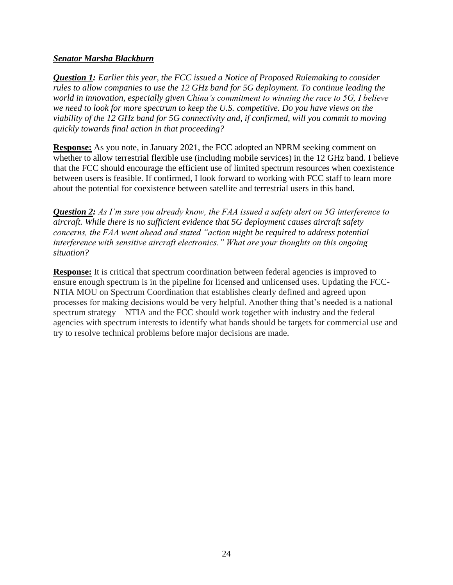### *Senator Marsha Blackburn*

*Question 1: Earlier this year, the FCC issued a Notice of Proposed Rulemaking to consider rules to allow companies to use the 12 GHz band for 5G deployment. To continue leading the world in innovation, especially given China's commitment to winning the race to 5G, I believe we need to look for more spectrum to keep the U.S. competitive. Do you have views on the viability of the 12 GHz band for 5G connectivity and, if confirmed, will you commit to moving quickly towards final action in that proceeding?*

**Response:** As you note, in January 2021, the FCC adopted an NPRM seeking comment on whether to allow terrestrial flexible use (including mobile services) in the 12 GHz band. I believe that the FCC should encourage the efficient use of limited spectrum resources when coexistence between users is feasible. If confirmed, I look forward to working with FCC staff to learn more about the potential for coexistence between satellite and terrestrial users in this band.

*Question 2: As I'm sure you already know, the FAA issued a safety alert on 5G interference to aircraft. While there is no sufficient evidence that 5G deployment causes aircraft safety concerns, the FAA went ahead and stated "action might be required to address potential interference with sensitive aircraft electronics." What are your thoughts on this ongoing situation?*

**Response:** It is critical that spectrum coordination between federal agencies is improved to ensure enough spectrum is in the pipeline for licensed and unlicensed uses. Updating the FCC-NTIA MOU on Spectrum Coordination that establishes clearly defined and agreed upon processes for making decisions would be very helpful. Another thing that's needed is a national spectrum strategy—NTIA and the FCC should work together with industry and the federal agencies with spectrum interests to identify what bands should be targets for commercial use and try to resolve technical problems before major decisions are made.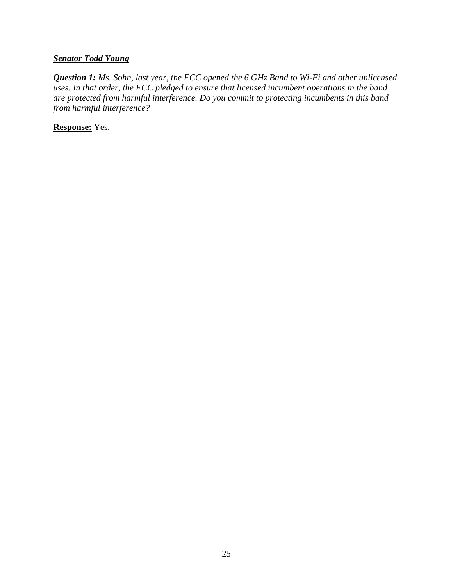# *Senator Todd Young*

*Question 1: Ms. Sohn, last year, the FCC opened the 6 GHz Band to Wi-Fi and other unlicensed uses. In that order, the FCC pledged to ensure that licensed incumbent operations in the band are protected from harmful interference. Do you commit to protecting incumbents in this band from harmful interference?*

**Response:** Yes.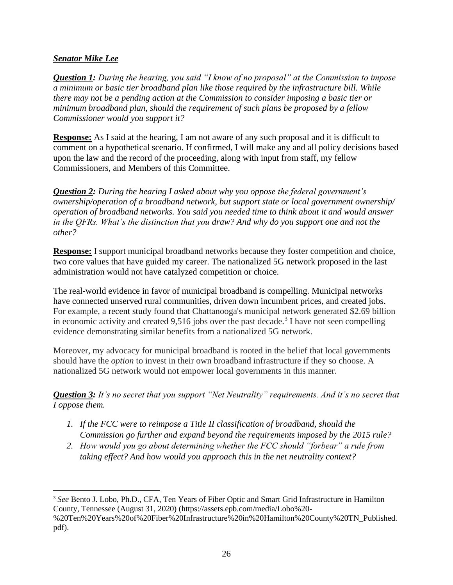# *Senator Mike Lee*

*Question 1: During the hearing, you said "I know of no proposal" at the Commission to impose a minimum or basic tier broadband plan like those required by the infrastructure bill. While there may not be a pending action at the Commission to consider imposing a basic tier or minimum broadband plan, should the requirement of such plans be proposed by a fellow Commissioner would you support it?*

**Response:** As I said at the hearing, I am not aware of any such proposal and it is difficult to comment on a hypothetical scenario. If confirmed, I will make any and all policy decisions based upon the law and the record of the proceeding, along with input from staff, my fellow Commissioners, and Members of this Committee.

*Question 2: During the hearing I asked about why you oppose the federal government's ownership/operation of a broadband network, but support state or local government ownership/ operation of broadband networks. You said you needed time to think about it and would answer in the QFRs. What's the distinction that you draw? And why do you support one and not the other?*

**Response:** I support municipal broadband networks because they foster competition and choice, two core values that have guided my career. The nationalized 5G network proposed in the last administration would not have catalyzed competition or choice.

The real-world evidence in favor of municipal broadband is compelling. Municipal networks have connected unserved rural communities, driven down incumbent prices, and created jobs. For example, a recent study found that Chattanooga's municipal network generated \$2.69 billion in economic activity and created  $9,516$  jobs over the past decade.<sup>3</sup> I have not seen compelling evidence demonstrating similar benefits from a nationalized 5G network.

Moreover, my advocacy for municipal broadband is rooted in the belief that local governments should have the *option* to invest in their own broadband infrastructure if they so choose. A nationalized 5G network would not empower local governments in this manner.

*Question 3: It's no secret that you support "Net Neutrality" requirements. And it's no secret that I oppose them.* 

- *1. If the FCC were to reimpose a Title II classification of broadband, should the Commission go further and expand beyond the requirements imposed by the 2015 rule?*
- *2. How would you go about determining whether the FCC should "forbear" a rule from taking effect? And how would you approach this in the net neutrality context?*

<sup>3</sup> *See* Bento J. Lobo, Ph.D., CFA, Ten Years of Fiber Optic and Smart Grid Infrastructure in Hamilton County, Tennessee (August 31, 2020) (https://assets.epb.com/media/Lobo%20-

<sup>%20</sup>Ten%20Years%20of%20Fiber%20Infrastructure%20in%20Hamilton%20County%20TN\_Published. pdf).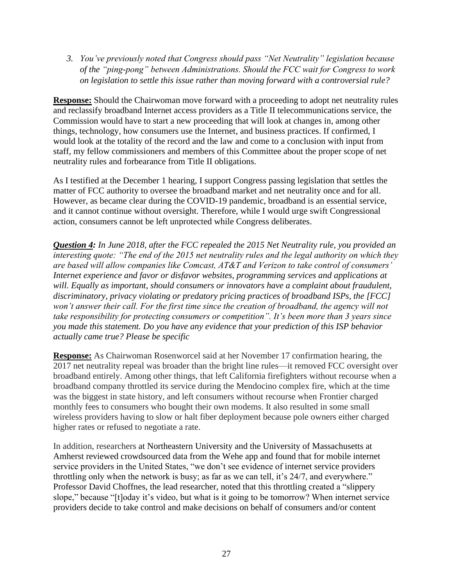*3. You've previously noted that Congress should pass "Net Neutrality" legislation because of the "ping-pong" between Administrations. Should the FCC wait for Congress to work on legislation to settle this issue rather than moving forward with a controversial rule?*

**Response:** Should the Chairwoman move forward with a proceeding to adopt net neutrality rules and reclassify broadband Internet access providers as a Title II telecommunications service, the Commission would have to start a new proceeding that will look at changes in, among other things, technology, how consumers use the Internet, and business practices. If confirmed, I would look at the totality of the record and the law and come to a conclusion with input from staff, my fellow commissioners and members of this Committee about the proper scope of net neutrality rules and forbearance from Title II obligations.

As I testified at the December 1 hearing, I support Congress passing legislation that settles the matter of FCC authority to oversee the broadband market and net neutrality once and for all. However, as became clear during the COVID-19 pandemic, broadband is an essential service, and it cannot continue without oversight. Therefore, while I would urge swift Congressional action, consumers cannot be left unprotected while Congress deliberates.

*Question 4: In June 2018, after the FCC repealed the 2015 Net Neutrality rule, you provided an interesting quote: "The end of the 2015 net neutrality rules and the legal authority on which they are based will allow companies like Comcast, AT&T and Verizon to take control of consumers' Internet experience and favor or disfavor websites, programming services and applications at will. Equally as important, should consumers or innovators have a complaint about fraudulent, discriminatory, privacy violating or predatory pricing practices of broadband ISPs, the [FCC] won't answer their call. For the first time since the creation of broadband, the agency will not take responsibility for protecting consumers or competition". It's been more than 3 years since you made this statement. Do you have any evidence that your prediction of this ISP behavior actually came true? Please be specific*

**Response:** As Chairwoman Rosenworcel said at her November 17 confirmation hearing, the 2017 net neutrality repeal was broader than the bright line rules—it removed FCC oversight over broadband entirely. Among other things, that left California firefighters without recourse when a broadband company throttled its service during the Mendocino complex fire, which at the time was the biggest in state history, and left consumers without recourse when Frontier charged monthly fees to consumers who bought their own modems. It also resulted in some small wireless providers having to slow or halt fiber deployment because pole owners either charged higher rates or refused to negotiate a rate.

In addition, researchers at Northeastern University and the University of Massachusetts at Amherst reviewed crowdsourced data from the Wehe app and found that for mobile internet service providers in the United States, "we don't see evidence of internet service providers throttling only when the network is busy; as far as we can tell, it's 24/7, and everywhere." Professor David Choffnes, the lead researcher, noted that this throttling created a "slippery slope," because "[t]oday it's video, but what is it going to be tomorrow? When internet service providers decide to take control and make decisions on behalf of consumers and/or content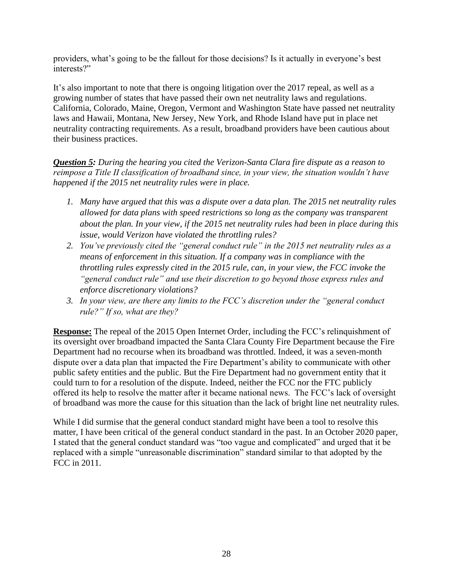providers, what's going to be the fallout for those decisions? Is it actually in everyone's best interests?"

It's also important to note that there is ongoing litigation over the 2017 repeal, as well as a growing number of states that have passed their own net neutrality laws and regulations. California, Colorado, Maine, Oregon, Vermont and Washington State have passed net neutrality laws and Hawaii, Montana, New Jersey, New York, and Rhode Island have put in place net neutrality contracting requirements. As a result, broadband providers have been cautious about their business practices.

*Question 5: During the hearing you cited the Verizon-Santa Clara fire dispute as a reason to reimpose a Title II classification of broadband since, in your view, the situation wouldn't have happened if the 2015 net neutrality rules were in place.* 

- *1. Many have argued that this was a dispute over a data plan. The 2015 net neutrality rules allowed for data plans with speed restrictions so long as the company was transparent about the plan. In your view, if the 2015 net neutrality rules had been in place during this issue, would Verizon have violated the throttling rules?*
- *2. You've previously cited the "general conduct rule" in the 2015 net neutrality rules as a means of enforcement in this situation. If a company was in compliance with the throttling rules expressly cited in the 2015 rule, can, in your view, the FCC invoke the "general conduct rule" and use their discretion to go beyond those express rules and enforce discretionary violations?*
- *3. In your view, are there any limits to the FCC's discretion under the "general conduct rule?" If so, what are they?*

**Response:** The repeal of the 2015 Open Internet Order, including the FCC's relinquishment of its oversight over broadband impacted the Santa Clara County Fire Department because the Fire Department had no recourse when its broadband was throttled. Indeed, it was a seven-month dispute over a data plan that impacted the Fire Department's ability to communicate with other public safety entities and the public. But the Fire Department had no government entity that it could turn to for a resolution of the dispute. Indeed, neither the FCC nor the FTC publicly offered its help to resolve the matter after it became national news. The FCC's lack of oversight of broadband was more the cause for this situation than the lack of bright line net neutrality rules.

While I did surmise that the general conduct standard might have been a tool to resolve this matter, I have been critical of the general conduct standard in the past. In an October 2020 paper, I stated that the general conduct standard was "too vague and complicated" and urged that it be replaced with a simple "unreasonable discrimination" standard similar to that adopted by the FCC in 2011.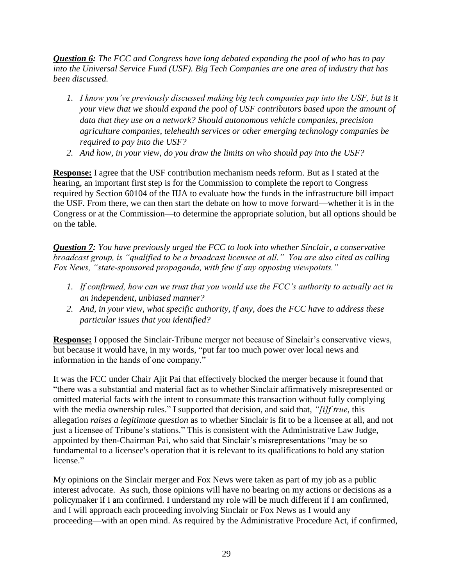*Question 6: The FCC and Congress have long debated expanding the pool of who has to pay into the Universal Service Fund (USF). Big Tech Companies are one area of industry that has been discussed.*

- *1. I know you've previously discussed making big tech companies pay into the USF, but is it your view that we should expand the pool of USF contributors based upon the amount of data that they use on a network? Should autonomous vehicle companies, precision agriculture companies, telehealth services or other emerging technology companies be required to pay into the USF?*
- *2. And how, in your view, do you draw the limits on who should pay into the USF?*

**Response:** I agree that the USF contribution mechanism needs reform. But as I stated at the hearing, an important first step is for the Commission to complete the report to Congress required by Section 60104 of the IIJA to evaluate how the funds in the infrastructure bill impact the USF. From there, we can then start the debate on how to move forward—whether it is in the Congress or at the Commission—to determine the appropriate solution, but all options should be on the table.

*Question 7: You have previously urged the FCC to look into whether Sinclair, a conservative broadcast group, is "qualified to be a broadcast licensee at all." You are also cited as calling Fox News, "state-sponsored propaganda, with few if any opposing viewpoints."*

- *1. If confirmed, how can we trust that you would use the FCC's authority to actually act in an independent, unbiased manner?*
- *2. And, in your view, what specific authority, if any, does the FCC have to address these particular issues that you identified?*

**Response:** I opposed the Sinclair-Tribune merger not because of Sinclair's conservative views, but because it would have, in my words, "put far too much power over local news and information in the hands of one company."

It was the FCC under Chair Ajit Pai that effectively blocked the merger because it found that "there was a substantial and material fact as to whether Sinclair affirmatively misrepresented or omitted material facts with the intent to consummate this transaction without fully complying with the media ownership rules." I supported that decision, and said that, *"[i]f true*, this allegation *raises a legitimate question* as to whether Sinclair is fit to be a licensee at all, and not just a licensee of Tribune's stations." This is consistent with the Administrative Law Judge, appointed by then-Chairman Pai, who said that Sinclair's misrepresentations "may be so fundamental to a licensee's operation that it is relevant to its qualifications to hold any station license."

My opinions on the Sinclair merger and Fox News were taken as part of my job as a public interest advocate. As such, those opinions will have no bearing on my actions or decisions as a policymaker if I am confirmed. I understand my role will be much different if I am confirmed, and I will approach each proceeding involving Sinclair or Fox News as I would any proceeding—with an open mind. As required by the Administrative Procedure Act, if confirmed,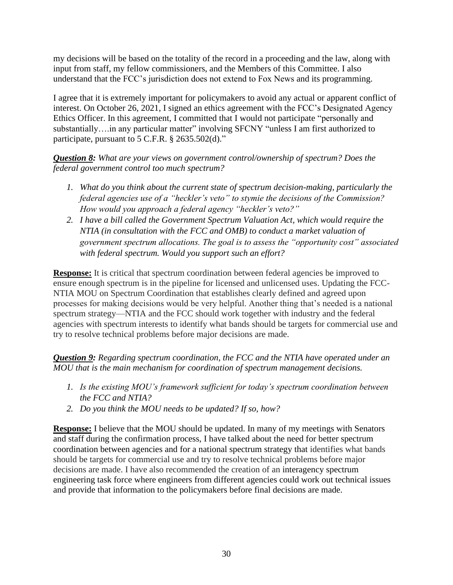my decisions will be based on the totality of the record in a proceeding and the law, along with input from staff, my fellow commissioners, and the Members of this Committee. I also understand that the FCC's jurisdiction does not extend to Fox News and its programming.

I agree that it is extremely important for policymakers to avoid any actual or apparent conflict of interest. On October 26, 2021, I signed an ethics agreement with the FCC's Designated Agency Ethics Officer. In this agreement, I committed that I would not participate "personally and substantially….in any particular matter" involving SFCNY "unless I am first authorized to participate, pursuant to 5 C.F.R. § 2635.502(d)."

*Question 8: What are your views on government control/ownership of spectrum? Does the federal government control too much spectrum?* 

- *1. What do you think about the current state of spectrum decision-making, particularly the federal agencies use of a "heckler's veto" to stymie the decisions of the Commission? How would you approach a federal agency "heckler's veto?"*
- *2. I have a bill called the Government Spectrum Valuation Act, which would require the NTIA (in consultation with the FCC and OMB) to conduct a market valuation of government spectrum allocations. The goal is to assess the "opportunity cost" associated with federal spectrum. Would you support such an effort?*

**Response:** It is critical that spectrum coordination between federal agencies be improved to ensure enough spectrum is in the pipeline for licensed and unlicensed uses. Updating the FCC-NTIA MOU on Spectrum Coordination that establishes clearly defined and agreed upon processes for making decisions would be very helpful. Another thing that's needed is a national spectrum strategy—NTIA and the FCC should work together with industry and the federal agencies with spectrum interests to identify what bands should be targets for commercial use and try to resolve technical problems before major decisions are made.

*Question 9: Regarding spectrum coordination, the FCC and the NTIA have operated under an MOU that is the main mechanism for coordination of spectrum management decisions.* 

- *1. Is the existing MOU's framework sufficient for today's spectrum coordination between the FCC and NTIA?*
- *2. Do you think the MOU needs to be updated? If so, how?*

**Response:** I believe that the MOU should be updated. In many of my meetings with Senators and staff during the confirmation process, I have talked about the need for better spectrum coordination between agencies and for a national spectrum strategy that identifies what bands should be targets for commercial use and try to resolve technical problems before major decisions are made. I have also recommended the creation of an interagency spectrum engineering task force where engineers from different agencies could work out technical issues and provide that information to the policymakers before final decisions are made.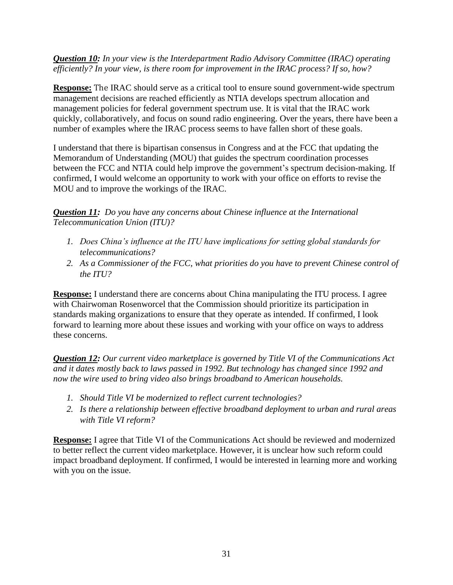*Question 10: In your view is the Interdepartment Radio Advisory Committee (IRAC) operating efficiently? In your view, is there room for improvement in the IRAC process? If so, how?*

**Response:** The IRAC should serve as a critical tool to ensure sound government-wide spectrum management decisions are reached efficiently as NTIA develops spectrum allocation and management policies for federal government spectrum use. It is vital that the IRAC work quickly, collaboratively, and focus on sound radio engineering. Over the years, there have been a number of examples where the IRAC process seems to have fallen short of these goals.

I understand that there is bipartisan consensus in Congress and at the FCC that updating the Memorandum of Understanding (MOU) that guides the spectrum coordination processes between the FCC and NTIA could help improve the government's spectrum decision-making. If confirmed, I would welcome an opportunity to work with your office on efforts to revise the MOU and to improve the workings of the IRAC.

*Question 11: Do you have any concerns about Chinese influence at the International Telecommunication Union (ITU)?*

- *1. Does China's influence at the ITU have implications for setting global standards for telecommunications?*
- *2. As a Commissioner of the FCC, what priorities do you have to prevent Chinese control of the ITU?*

**Response:** I understand there are concerns about China manipulating the ITU process. I agree with Chairwoman Rosenworcel that the Commission should prioritize its participation in standards making organizations to ensure that they operate as intended. If confirmed, I look forward to learning more about these issues and working with your office on ways to address these concerns.

*Question 12: Our current video marketplace is governed by Title VI of the Communications Act and it dates mostly back to laws passed in 1992. But technology has changed since 1992 and now the wire used to bring video also brings broadband to American households.*

- *1. Should Title VI be modernized to reflect current technologies?*
- *2. Is there a relationship between effective broadband deployment to urban and rural areas with Title VI reform?*

**Response:** I agree that Title VI of the Communications Act should be reviewed and modernized to better reflect the current video marketplace. However, it is unclear how such reform could impact broadband deployment. If confirmed, I would be interested in learning more and working with you on the issue.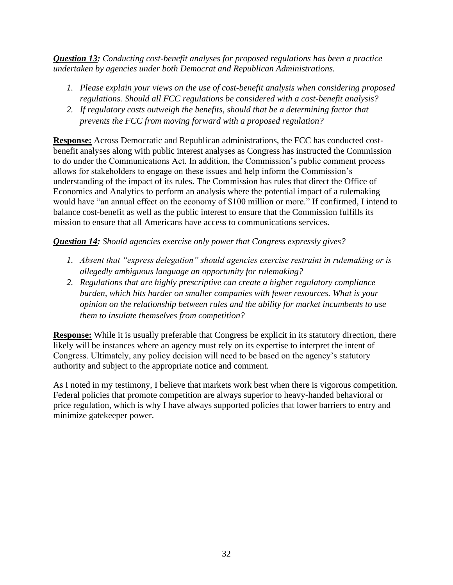*Question 13: Conducting cost-benefit analyses for proposed regulations has been a practice undertaken by agencies under both Democrat and Republican Administrations.* 

- *1. Please explain your views on the use of cost-benefit analysis when considering proposed regulations. Should all FCC regulations be considered with a cost-benefit analysis?*
- *2. If regulatory costs outweigh the benefits, should that be a determining factor that prevents the FCC from moving forward with a proposed regulation?*

**Response:** Across Democratic and Republican administrations, the FCC has conducted costbenefit analyses along with public interest analyses as Congress has instructed the Commission to do under the Communications Act. In addition, the Commission's public comment process allows for stakeholders to engage on these issues and help inform the Commission's understanding of the impact of its rules. The Commission has rules that direct the Office of Economics and Analytics to perform an analysis where the potential impact of a rulemaking would have "an annual effect on the economy of \$100 million or more." If confirmed, I intend to balance cost-benefit as well as the public interest to ensure that the Commission fulfills its mission to ensure that all Americans have access to communications services.

# *Question 14: Should agencies exercise only power that Congress expressly gives?*

- *1. Absent that "express delegation" should agencies exercise restraint in rulemaking or is allegedly ambiguous language an opportunity for rulemaking?*
- *2. Regulations that are highly prescriptive can create a higher regulatory compliance burden, which hits harder on smaller companies with fewer resources. What is your opinion on the relationship between rules and the ability for market incumbents to use them to insulate themselves from competition?*

**Response:** While it is usually preferable that Congress be explicit in its statutory direction, there likely will be instances where an agency must rely on its expertise to interpret the intent of Congress. Ultimately, any policy decision will need to be based on the agency's statutory authority and subject to the appropriate notice and comment.

As I noted in my testimony, I believe that markets work best when there is vigorous competition. Federal policies that promote competition are always superior to heavy-handed behavioral or price regulation, which is why I have always supported policies that lower barriers to entry and minimize gatekeeper power.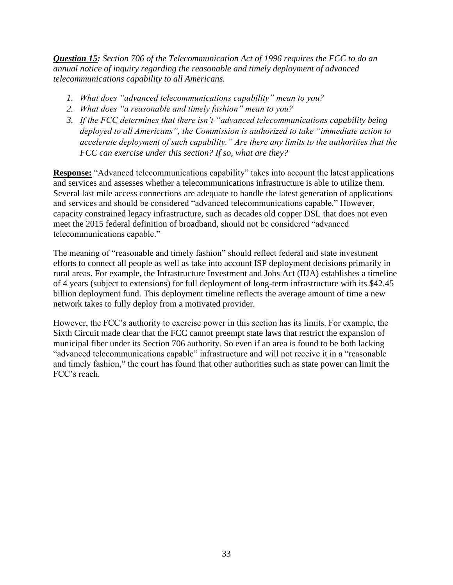*Question 15: Section 706 of the Telecommunication Act of 1996 requires the FCC to do an annual notice of inquiry regarding the reasonable and timely deployment of advanced telecommunications capability to all Americans.* 

- *1. What does "advanced telecommunications capability" mean to you?*
- *2. What does "a reasonable and timely fashion" mean to you?*
- *3. If the FCC determines that there isn't "advanced telecommunications capability being deployed to all Americans", the Commission is authorized to take "immediate action to accelerate deployment of such capability." Are there any limits to the authorities that the FCC can exercise under this section? If so, what are they?*

**Response:** "Advanced telecommunications capability" takes into account the latest applications and services and assesses whether a telecommunications infrastructure is able to utilize them. Several last mile access connections are adequate to handle the latest generation of applications and services and should be considered "advanced telecommunications capable." However, capacity constrained legacy infrastructure, such as decades old copper DSL that does not even meet the 2015 federal definition of broadband, should not be considered "advanced telecommunications capable."

The meaning of "reasonable and timely fashion" should reflect federal and state investment efforts to connect all people as well as take into account ISP deployment decisions primarily in rural areas. For example, the Infrastructure Investment and Jobs Act (IIJA) establishes a timeline of 4 years (subject to extensions) for full deployment of long-term infrastructure with its \$42.45 billion deployment fund. This deployment timeline reflects the average amount of time a new network takes to fully deploy from a motivated provider.

However, the FCC's authority to exercise power in this section has its limits. For example, the Sixth Circuit made clear that the FCC cannot preempt state laws that restrict the expansion of municipal fiber under its Section 706 authority. So even if an area is found to be both lacking "advanced telecommunications capable" infrastructure and will not receive it in a "reasonable and timely fashion," the court has found that other authorities such as state power can limit the FCC's reach.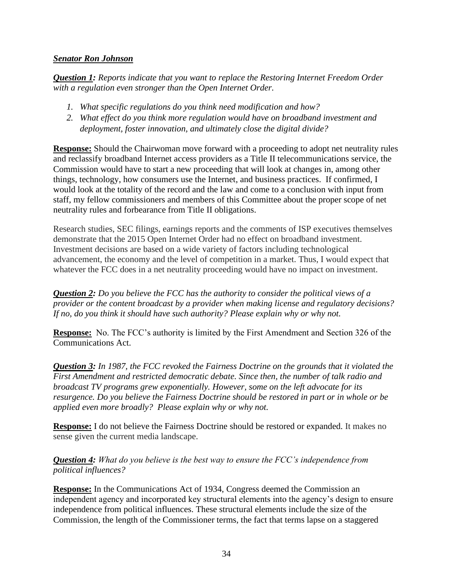### *Senator Ron Johnson*

*Question 1: Reports indicate that you want to replace the Restoring Internet Freedom Order with a regulation even stronger than the Open Internet Order.*

- *1. What specific regulations do you think need modification and how?*
- *2. What effect do you think more regulation would have on broadband investment and deployment, foster innovation, and ultimately close the digital divide?*

**Response:** Should the Chairwoman move forward with a proceeding to adopt net neutrality rules and reclassify broadband Internet access providers as a Title II telecommunications service, the Commission would have to start a new proceeding that will look at changes in, among other things, technology, how consumers use the Internet, and business practices. If confirmed, I would look at the totality of the record and the law and come to a conclusion with input from staff, my fellow commissioners and members of this Committee about the proper scope of net neutrality rules and forbearance from Title II obligations.

Research studies, SEC filings, earnings reports and the comments of ISP executives themselves demonstrate that the 2015 Open Internet Order had no effect on broadband investment. Investment decisions are based on a wide variety of factors including technological advancement, the economy and the level of competition in a market. Thus, I would expect that whatever the FCC does in a net neutrality proceeding would have no impact on investment.

*Question 2: Do you believe the FCC has the authority to consider the political views of a provider or the content broadcast by a provider when making license and regulatory decisions? If no, do you think it should have such authority? Please explain why or why not.*

**Response:** No. The FCC's authority is limited by the First Amendment and Section 326 of the Communications Act.

*Question 3: In 1987, the FCC revoked the Fairness Doctrine on the grounds that it violated the First Amendment and restricted democratic debate. Since then, the number of talk radio and broadcast TV programs grew exponentially. However, some on the left advocate for its resurgence. Do you believe the Fairness Doctrine should be restored in part or in whole or be applied even more broadly? Please explain why or why not.*

**Response:** I do not believe the Fairness Doctrine should be restored or expanded. It makes no sense given the current media landscape.

# *Question 4: What do you believe is the best way to ensure the FCC's independence from political influences?*

**Response:** In the Communications Act of 1934, Congress deemed the Commission an independent agency and incorporated key structural elements into the agency's design to ensure independence from political influences. These structural elements include the size of the Commission, the length of the Commissioner terms, the fact that terms lapse on a staggered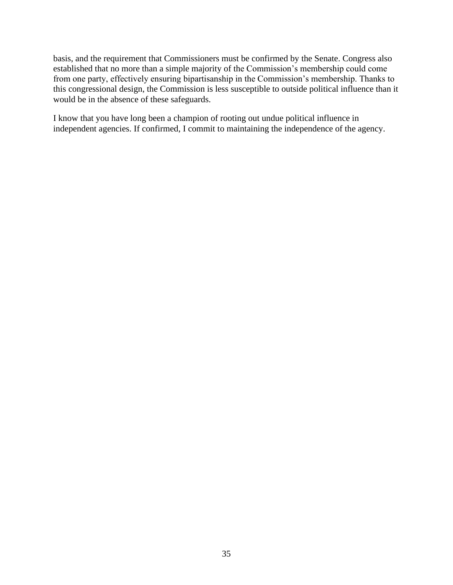basis, and the requirement that Commissioners must be confirmed by the Senate. Congress also established that no more than a simple majority of the Commission's membership could come from one party, effectively ensuring bipartisanship in the Commission's membership. Thanks to this congressional design, the Commission is less susceptible to outside political influence than it would be in the absence of these safeguards.

I know that you have long been a champion of rooting out undue political influence in independent agencies. If confirmed, I commit to maintaining the independence of the agency.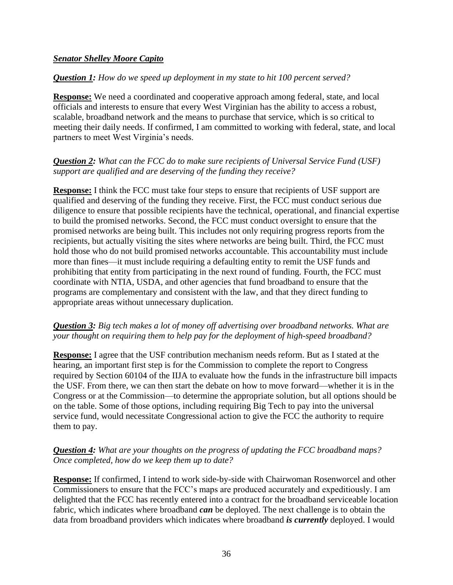### *Senator Shelley Moore Capito*

### *Question 1: How do we speed up deployment in my state to hit 100 percent served?*

**Response:** We need a coordinated and cooperative approach among federal, state, and local officials and interests to ensure that every West Virginian has the ability to access a robust, scalable, broadband network and the means to purchase that service, which is so critical to meeting their daily needs. If confirmed, I am committed to working with federal, state, and local partners to meet West Virginia's needs.

### *Question 2: What can the FCC do to make sure recipients of Universal Service Fund (USF) support are qualified and are deserving of the funding they receive?*

**Response:** I think the FCC must take four steps to ensure that recipients of USF support are qualified and deserving of the funding they receive. First, the FCC must conduct serious due diligence to ensure that possible recipients have the technical, operational, and financial expertise to build the promised networks. Second, the FCC must conduct oversight to ensure that the promised networks are being built. This includes not only requiring progress reports from the recipients, but actually visiting the sites where networks are being built. Third, the FCC must hold those who do not build promised networks accountable. This accountability must include more than fines—it must include requiring a defaulting entity to remit the USF funds and prohibiting that entity from participating in the next round of funding. Fourth, the FCC must coordinate with NTIA, USDA, and other agencies that fund broadband to ensure that the programs are complementary and consistent with the law, and that they direct funding to appropriate areas without unnecessary duplication.

# *Question 3: Big tech makes a lot of money off advertising over broadband networks. What are your thought on requiring them to help pay for the deployment of high-speed broadband?*

**Response:** I agree that the USF contribution mechanism needs reform. But as I stated at the hearing, an important first step is for the Commission to complete the report to Congress required by Section 60104 of the IIJA to evaluate how the funds in the infrastructure bill impacts the USF. From there, we can then start the debate on how to move forward—whether it is in the Congress or at the Commission—to determine the appropriate solution, but all options should be on the table. Some of those options, including requiring Big Tech to pay into the universal service fund, would necessitate Congressional action to give the FCC the authority to require them to pay.

# *Question 4: What are your thoughts on the progress of updating the FCC broadband maps? Once completed, how do we keep them up to date?*

**Response:** If confirmed, I intend to work side-by-side with Chairwoman Rosenworcel and other Commissioners to ensure that the FCC's maps are produced accurately and expeditiously. I am delighted that the FCC has recently entered into a contract for the broadband serviceable location fabric, which indicates where broadband *can* be deployed. The next challenge is to obtain the data from broadband providers which indicates where broadband *is currently* deployed. I would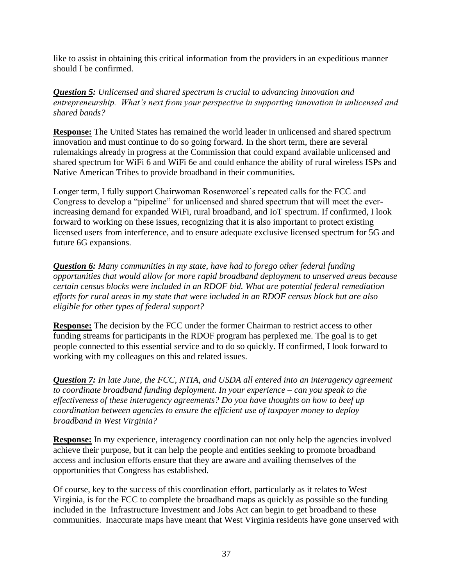like to assist in obtaining this critical information from the providers in an expeditious manner should I be confirmed.

*Question 5: Unlicensed and shared spectrum is crucial to advancing innovation and entrepreneurship. What's next from your perspective in supporting innovation in unlicensed and shared bands?*

**Response:** The United States has remained the world leader in unlicensed and shared spectrum innovation and must continue to do so going forward. In the short term, there are several rulemakings already in progress at the Commission that could expand available unlicensed and shared spectrum for WiFi 6 and WiFi 6e and could enhance the ability of rural wireless ISPs and Native American Tribes to provide broadband in their communities.

Longer term, I fully support Chairwoman Rosenworcel's repeated calls for the FCC and Congress to develop a "pipeline" for unlicensed and shared spectrum that will meet the everincreasing demand for expanded WiFi, rural broadband, and IoT spectrum. If confirmed, I look forward to working on these issues, recognizing that it is also important to protect existing licensed users from interference, and to ensure adequate exclusive licensed spectrum for 5G and future 6G expansions.

*Question 6: Many communities in my state, have had to forego other federal funding opportunities that would allow for more rapid broadband deployment to unserved areas because certain census blocks were included in an RDOF bid. What are potential federal remediation efforts for rural areas in my state that were included in an RDOF census block but are also eligible for other types of federal support?*

**Response:** The decision by the FCC under the former Chairman to restrict access to other funding streams for participants in the RDOF program has perplexed me. The goal is to get people connected to this essential service and to do so quickly. If confirmed, I look forward to working with my colleagues on this and related issues.

*Question 7: In late June, the FCC, NTIA, and USDA all entered into an interagency agreement to coordinate broadband funding deployment. In your experience – can you speak to the effectiveness of these interagency agreements? Do you have thoughts on how to beef up coordination between agencies to ensure the efficient use of taxpayer money to deploy broadband in West Virginia?*

**Response:** In my experience, interagency coordination can not only help the agencies involved achieve their purpose, but it can help the people and entities seeking to promote broadband access and inclusion efforts ensure that they are aware and availing themselves of the opportunities that Congress has established.

Of course, key to the success of this coordination effort, particularly as it relates to West Virginia, is for the FCC to complete the broadband maps as quickly as possible so the funding included in the Infrastructure Investment and Jobs Act can begin to get broadband to these communities. Inaccurate maps have meant that West Virginia residents have gone unserved with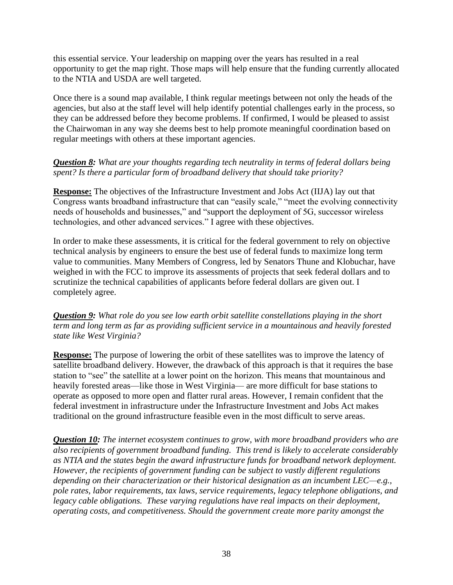this essential service. Your leadership on mapping over the years has resulted in a real opportunity to get the map right. Those maps will help ensure that the funding currently allocated to the NTIA and USDA are well targeted.

Once there is a sound map available, I think regular meetings between not only the heads of the agencies, but also at the staff level will help identify potential challenges early in the process, so they can be addressed before they become problems. If confirmed, I would be pleased to assist the Chairwoman in any way she deems best to help promote meaningful coordination based on regular meetings with others at these important agencies.

# *Question 8: What are your thoughts regarding tech neutrality in terms of federal dollars being spent? Is there a particular form of broadband delivery that should take priority?*

**Response:** The objectives of the Infrastructure Investment and Jobs Act (IIJA) lay out that Congress wants broadband infrastructure that can "easily scale," "meet the evolving connectivity needs of households and businesses," and "support the deployment of 5G, successor wireless technologies, and other advanced services." I agree with these objectives.

In order to make these assessments, it is critical for the federal government to rely on objective technical analysis by engineers to ensure the best use of federal funds to maximize long term value to communities. Many Members of Congress, led by Senators Thune and Klobuchar, have weighed in with the FCC to improve its assessments of projects that seek federal dollars and to scrutinize the technical capabilities of applicants before federal dollars are given out. I completely agree.

*Question 9: What role do you see low earth orbit satellite constellations playing in the short term and long term as far as providing sufficient service in a mountainous and heavily forested state like West Virginia?*

**Response:** The purpose of lowering the orbit of these satellites was to improve the latency of satellite broadband delivery. However, the drawback of this approach is that it requires the base station to "see" the satellite at a lower point on the horizon. This means that mountainous and heavily forested areas—like those in West Virginia— are more difficult for base stations to operate as opposed to more open and flatter rural areas. However, I remain confident that the federal investment in infrastructure under the Infrastructure Investment and Jobs Act makes traditional on the ground infrastructure feasible even in the most difficult to serve areas.

*Question 10: The internet ecosystem continues to grow, with more broadband providers who are also recipients of government broadband funding. This trend is likely to accelerate considerably as NTIA and the states begin the award infrastructure funds for broadband network deployment. However, the recipients of government funding can be subject to vastly different regulations depending on their characterization or their historical designation as an incumbent LEC—e.g., pole rates, labor requirements, tax laws, service requirements, legacy telephone obligations, and legacy cable obligations. These varying regulations have real impacts on their deployment, operating costs, and competitiveness. Should the government create more parity amongst the*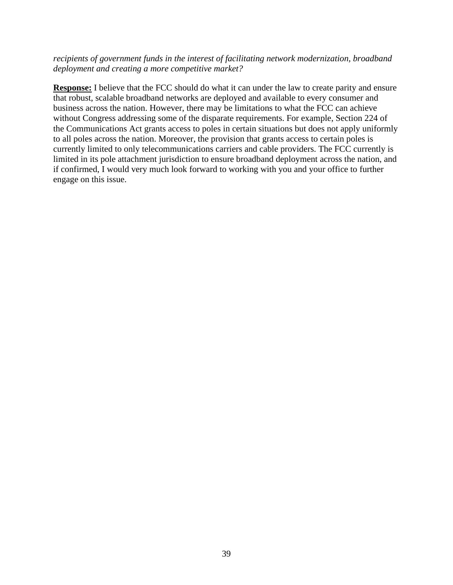### *recipients of government funds in the interest of facilitating network modernization, broadband deployment and creating a more competitive market?*

**Response:** I believe that the FCC should do what it can under the law to create parity and ensure that robust, scalable broadband networks are deployed and available to every consumer and business across the nation. However, there may be limitations to what the FCC can achieve without Congress addressing some of the disparate requirements. For example, Section 224 of the Communications Act grants access to poles in certain situations but does not apply uniformly to all poles across the nation. Moreover, the provision that grants access to certain poles is currently limited to only telecommunications carriers and cable providers. The FCC currently is limited in its pole attachment jurisdiction to ensure broadband deployment across the nation, and if confirmed, I would very much look forward to working with you and your office to further engage on this issue.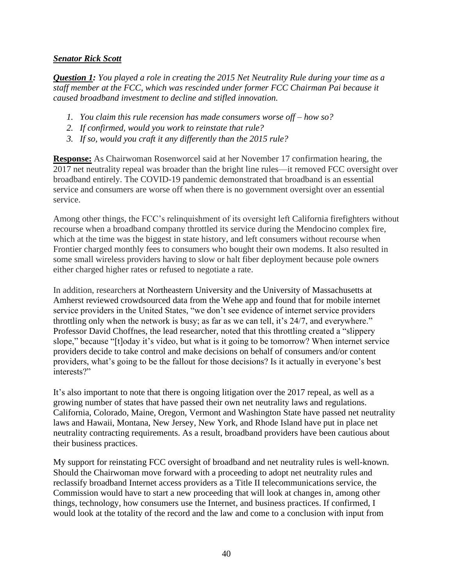### *Senator Rick Scott*

*Question 1: You played a role in creating the 2015 Net Neutrality Rule during your time as a staff member at the FCC, which was rescinded under former FCC Chairman Pai because it caused broadband investment to decline and stifled innovation.*

- *1. You claim this rule recension has made consumers worse off – how so?*
- *2. If confirmed, would you work to reinstate that rule?*
- *3. If so, would you craft it any differently than the 2015 rule?*

**Response:** As Chairwoman Rosenworcel said at her November 17 confirmation hearing, the 2017 net neutrality repeal was broader than the bright line rules—it removed FCC oversight over broadband entirely. The COVID-19 pandemic demonstrated that broadband is an essential service and consumers are worse off when there is no government oversight over an essential service.

Among other things, the FCC's relinquishment of its oversight left California firefighters without recourse when a broadband company throttled its service during the Mendocino complex fire, which at the time was the biggest in state history, and left consumers without recourse when Frontier charged monthly fees to consumers who bought their own modems. It also resulted in some small wireless providers having to slow or halt fiber deployment because pole owners either charged higher rates or refused to negotiate a rate.

In addition, researchers at Northeastern University and the University of Massachusetts at Amherst reviewed crowdsourced data from the Wehe app and found that for mobile internet service providers in the United States, "we don't see evidence of internet service providers throttling only when the network is busy; as far as we can tell, it's 24/7, and everywhere." Professor David Choffnes, the lead researcher, noted that this throttling created a "slippery slope," because "[t]oday it's video, but what is it going to be tomorrow? When internet service providers decide to take control and make decisions on behalf of consumers and/or content providers, what's going to be the fallout for those decisions? Is it actually in everyone's best interests?"

It's also important to note that there is ongoing litigation over the 2017 repeal, as well as a growing number of states that have passed their own net neutrality laws and regulations. California, Colorado, Maine, Oregon, Vermont and Washington State have passed net neutrality laws and Hawaii, Montana, New Jersey, New York, and Rhode Island have put in place net neutrality contracting requirements. As a result, broadband providers have been cautious about their business practices.

My support for reinstating FCC oversight of broadband and net neutrality rules is well-known. Should the Chairwoman move forward with a proceeding to adopt net neutrality rules and reclassify broadband Internet access providers as a Title II telecommunications service, the Commission would have to start a new proceeding that will look at changes in, among other things, technology, how consumers use the Internet, and business practices. If confirmed, I would look at the totality of the record and the law and come to a conclusion with input from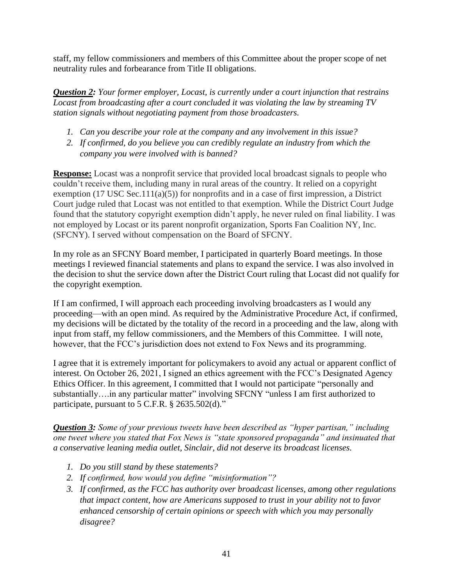staff, my fellow commissioners and members of this Committee about the proper scope of net neutrality rules and forbearance from Title II obligations.

*Question 2: Your former employer, Locast, is currently under a court injunction that restrains Locast from broadcasting after a court concluded it was violating the law by streaming TV station signals without negotiating payment from those broadcasters.* 

- *1. Can you describe your role at the company and any involvement in this issue?*
- *2. If confirmed, do you believe you can credibly regulate an industry from which the company you were involved with is banned?*

**Response:** Locast was a nonprofit service that provided local broadcast signals to people who couldn't receive them, including many in rural areas of the country. It relied on a copyright exemption (17 USC Sec.111(a)(5)) for nonprofits and in a case of first impression, a District Court judge ruled that Locast was not entitled to that exemption. While the District Court Judge found that the statutory copyright exemption didn't apply, he never ruled on final liability. I was not employed by Locast or its parent nonprofit organization, Sports Fan Coalition NY, Inc. (SFCNY). I served without compensation on the Board of SFCNY.

In my role as an SFCNY Board member, I participated in quarterly Board meetings. In those meetings I reviewed financial statements and plans to expand the service. I was also involved in the decision to shut the service down after the District Court ruling that Locast did not qualify for the copyright exemption.

If I am confirmed, I will approach each proceeding involving broadcasters as I would any proceeding—with an open mind. As required by the Administrative Procedure Act, if confirmed, my decisions will be dictated by the totality of the record in a proceeding and the law, along with input from staff, my fellow commissioners, and the Members of this Committee. I will note, however, that the FCC's jurisdiction does not extend to Fox News and its programming.

I agree that it is extremely important for policymakers to avoid any actual or apparent conflict of interest. On October 26, 2021, I signed an ethics agreement with the FCC's Designated Agency Ethics Officer. In this agreement, I committed that I would not participate "personally and substantially….in any particular matter" involving SFCNY "unless I am first authorized to participate, pursuant to 5 C.F.R. § 2635.502(d)."

*Question 3: Some of your previous tweets have been described as "hyper partisan," including one tweet where you stated that Fox News is "state sponsored propaganda" and insinuated that a conservative leaning media outlet, Sinclair, did not deserve its broadcast licenses.*

- *1. Do you still stand by these statements?*
- *2. If confirmed, how would you define "misinformation"?*
- *3. If confirmed, as the FCC has authority over broadcast licenses, among other regulations that impact content, how are Americans supposed to trust in your ability not to favor enhanced censorship of certain opinions or speech with which you may personally disagree?*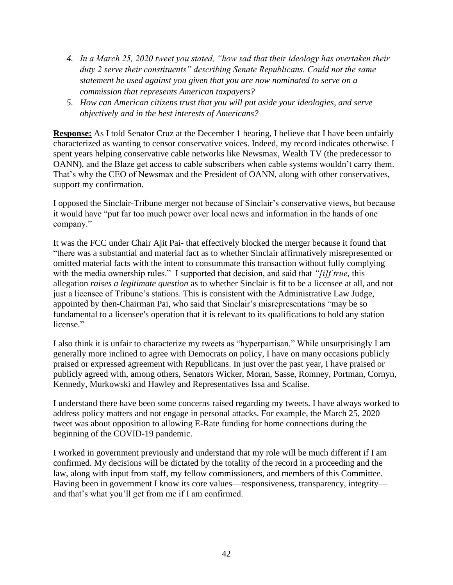- *4. In a March 25, 2020 tweet you stated, "how sad that their ideology has overtaken their duty 2 serve their constituents" describing Senate Republicans. Could not the same statement be used against you given that you are now nominated to serve on a commission that represents American taxpayers?*
- *5. How can American citizens trust that you will put aside your ideologies, and serve objectively and in the best interests of Americans?*

**Response:** As I told Senator Cruz at the December 1 hearing, I believe that I have been unfairly characterized as wanting to censor conservative voices. Indeed, my record indicates otherwise. I spent years helping conservative cable networks like Newsmax, Wealth TV (the predecessor to OANN), and the Blaze get access to cable subscribers when cable systems wouldn't carry them. That's why the CEO of Newsmax and the President of OANN, along with other conservatives, support my confirmation.

I opposed the Sinclair-Tribune merger not because of Sinclair's conservative views, but because it would have "put far too much power over local news and information in the hands of one company."

It was the FCC under Chair Ajit Pai- that effectively blocked the merger because it found that "there was a substantial and material fact as to whether Sinclair affirmatively misrepresented or omitted material facts with the intent to consummate this transaction without fully complying with the media ownership rules." I supported that decision, and said that *"[i]f true*, this allegation *raises a legitimate question* as to whether Sinclair is fit to be a licensee at all, and not just a licensee of Tribune's stations. This is consistent with the Administrative Law Judge, appointed by then-Chairman Pai, who said that Sinclair's misrepresentations "may be so fundamental to a licensee's operation that it is relevant to its qualifications to hold any station license."

I also think it is unfair to characterize my tweets as "hyperpartisan." While unsurprisingly I am generally more inclined to agree with Democrats on policy, I have on many occasions publicly praised or expressed agreement with Republicans. In just over the past year, I have praised or publicly agreed with, among others, Senators Wicker, Moran, Sasse, Romney, Portman, Cornyn, Kennedy, Murkowski and Hawley and Representatives Issa and Scalise.

I understand there have been some concerns raised regarding my tweets. I have always worked to address policy matters and not engage in personal attacks. For example, the March 25, 2020 tweet was about opposition to allowing E-Rate funding for home connections during the beginning of the COVID-19 pandemic.

I worked in government previously and understand that my role will be much different if I am confirmed. My decisions will be dictated by the totality of the record in a proceeding and the law, along with input from staff, my fellow commissioners, and members of this Committee. Having been in government I know its core values—responsiveness, transparency, integrity and that's what you'll get from me if I am confirmed.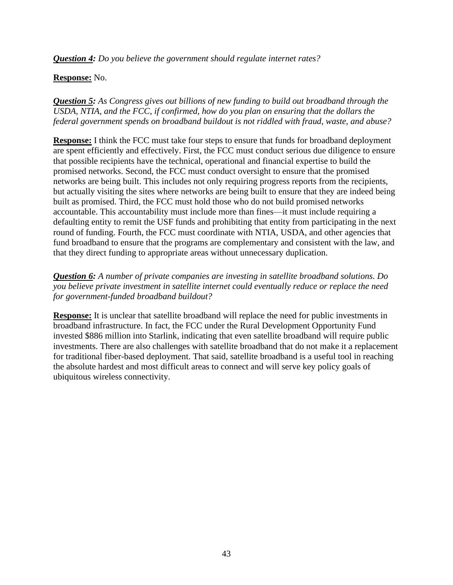*Question 4: Do you believe the government should regulate internet rates?*

## **Response:** No.

*Question 5: As Congress gives out billions of new funding to build out broadband through the USDA, NTIA, and the FCC, if confirmed, how do you plan on ensuring that the dollars the federal government spends on broadband buildout is not riddled with fraud, waste, and abuse?*

**Response:** I think the FCC must take four steps to ensure that funds for broadband deployment are spent efficiently and effectively. First, the FCC must conduct serious due diligence to ensure that possible recipients have the technical, operational and financial expertise to build the promised networks. Second, the FCC must conduct oversight to ensure that the promised networks are being built. This includes not only requiring progress reports from the recipients, but actually visiting the sites where networks are being built to ensure that they are indeed being built as promised. Third, the FCC must hold those who do not build promised networks accountable. This accountability must include more than fines—it must include requiring a defaulting entity to remit the USF funds and prohibiting that entity from participating in the next round of funding. Fourth, the FCC must coordinate with NTIA, USDA, and other agencies that fund broadband to ensure that the programs are complementary and consistent with the law, and that they direct funding to appropriate areas without unnecessary duplication.

*Question 6: A number of private companies are investing in satellite broadband solutions. Do you believe private investment in satellite internet could eventually reduce or replace the need for government-funded broadband buildout?*

**Response:** It is unclear that satellite broadband will replace the need for public investments in broadband infrastructure. In fact, the FCC under the Rural Development Opportunity Fund invested \$886 million into Starlink, indicating that even satellite broadband will require public investments. There are also challenges with satellite broadband that do not make it a replacement for traditional fiber-based deployment. That said, satellite broadband is a useful tool in reaching the absolute hardest and most difficult areas to connect and will serve key policy goals of ubiquitous wireless connectivity.